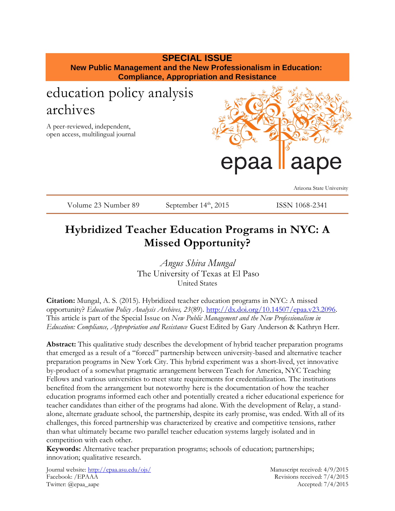## **SPECIAL ISSUE**

**New Public Management and the New Professionalism in Education: Compliance, Appropriation and Resistance**

# education policy analysis archives

A peer-reviewed, independent, open access, multilingual journal



Arizona State University

Volume 23 Number 89 September 14<sup>th</sup>, 2015 ISSN 1068-2341

# **Hybridized Teacher Education Programs in NYC: A Missed Opportunity?**

*Angus Shiva Mungal* The University of Texas at El Paso United States

**Citation:** Mungal, A. S. (2015). Hybridized teacher education programs in NYC: A missed opportunity? *Education Policy Analysis Archives, 23*(89). [http://dx.doi.org/10.14507/epaa.v23.2096.](http://dx.doi.org/10.14507/epaa.v23.2096) This article is part of the Special Issue on *New Public Management and the New Professionalism in Education: Compliance, Appropriation and Resistance* Guest Edited by Gary Anderson & Kathryn Herr.

**Abstract:** This qualitative study describes the development of hybrid teacher preparation programs that emerged as a result of a "forced" partnership between university-based and alternative teacher preparation programs in New York City. This hybrid experiment was a short-lived, yet innovative by-product of a somewhat pragmatic arrangement between Teach for America, NYC Teaching Fellows and various universities to meet state requirements for credentialization. The institutions benefited from the arrangement but noteworthy here is the documentation of how the teacher education programs informed each other and potentially created a richer educational experience for teacher candidates than either of the programs had alone. With the development of Relay, a standalone, alternate graduate school, the partnership, despite its early promise, was ended. With all of its challenges, this forced partnership was characterized by creative and competitive tensions, rather than what ultimately became two parallel teacher education systems largely isolated and in competition with each other.

**Keywords:** Alternative teacher preparation programs; schools of education; partnerships; innovation; qualitative research.

Journal website:<http://epaa.asu.edu/ojs/> Manuscript received: 4/9/2015 Facebook: /EPAAA Revisions received: 7/4/2015 Twitter: @epaa\_aape Accepted: 7/4/2015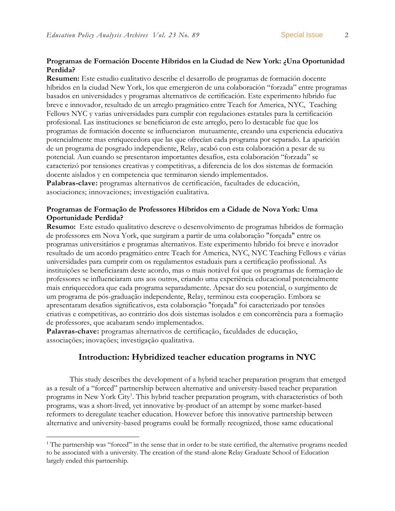### **Programas de Formación Docente Híbridos en la Ciudad de New York: ¿Una Oportunidad Perdida?**

**Resumen:** Este estudio cualitativo describe el desarrollo de programas de formación docente híbridos en la ciudad New York, los que emergieron de una colaboración "forzada" entre programas basados en universidades y programas alternativos de certificación. Este experimento híbrido fue breve e innovador, resultado de un arreglo pragmático entre Teach for America, NYC, Teaching Fellows NYC y varias universidades para cumplir con regulaciones estatales para la certificación profesional. Las instituciones se beneficiaron de este arreglo, pero lo destacable fue que los programas de formación docente se influenciaron mutuamente, creando una experiencia educativa potencialmente mas enriquecedora que las que ofrecían cada programa por separado. La aparición de un programa de posgrado independiente, Relay, acabó con esta colaboración a pesar de su potencial. Aun cuando se presentaron importantes desafíos, esta colaboración "forzada" se caracterizó por tensiones creativas y competitivas, a diferencia de los dos sistemas de formación docente aislados y en competencia que terminaron siendo implementados.

**Palabras-clave:** programas alternativos de certificación, facultades de educación, asociaciones; innovaciones; investigación cualitativa.

### **Programas de Formação de Professores Híbridos em a Cidade de Nova York: Uma Oportunidade Perdida?**

**Resumo:** Este estudo qualitativo descreve o desenvolvimento de programas híbridos de formação de professores em Nova York, que surgiram a partir de uma colaboração "forçada" entre os programas universitários e programas alternativos. Este experimento híbrido foi breve e inovador resultado de um acordo pragmático entre Teach for America, NYC, NYC Teaching Fellows e várias universidades para cumprir com os regulamentos estaduais para a certificação profissional. As instituições se beneficiaram deste acordo, mas o mais notável foi que os programas de formação de professores se influenciaram uns aos outros, criando uma experiência educacional potencialmente mais enriquecedora que cada programa separadamente. Apesar do seu potencial, o surgimento de um programa de pós-graduação independente, Relay, terminou esta cooperação. Embora se apresentaram desafios significativos, esta colaboração "forçada" foi caracterizado por tensões criativas e competitivas, ao contrário dos dois sistemas isolados e em concorrência para a formação de professores, que acabaram sendo implementados.

**Palavras-chave:** programas alternativos de certificação, faculdades de educação, associações; inovações; investigação qualitativa.

 $\overline{a}$ 

## **Introduction: Hybridized teacher education programs in NYC**

This study describes the development of a hybrid teacher preparation program that emerged as a result of a "forced" partnership between alternative and university-based teacher preparation programs in New York City<sup>1</sup>. This hybrid teacher preparation program, with characteristics of both programs, was a short-lived, yet innovative by-product of an attempt by some market-based reformers to deregulate teacher education. However before this innovative partnership between alternative and university-based programs could be formally recognized, those same educational

<sup>&</sup>lt;sup>1</sup> The partnership was "forced" in the sense that in order to be state certified, the alternative programs needed to be associated with a university. The creation of the stand-alone Relay Graduate School of Education largely ended this partnership.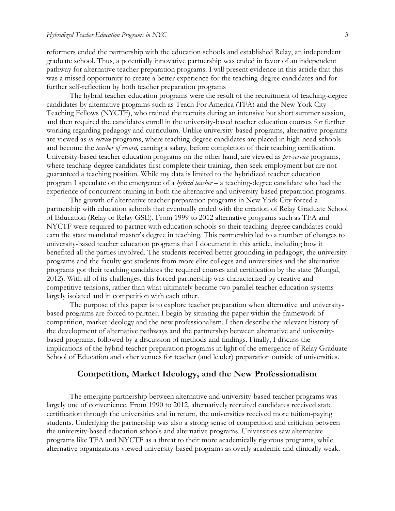reformers ended the partnership with the education schools and established Relay, an independent graduate school. Thus, a potentially innovative partnership was ended in favor of an independent pathway for alternative teacher preparation programs. I will present evidence in this article that this was a missed opportunity to create a better experience for the teaching-degree candidates and for further self-reflection by both teacher preparation programs

The hybrid teacher education programs were the result of the recruitment of teaching-degree candidates by alternative programs such as Teach For America (TFA) and the New York City Teaching Fellows (NYCTF), who trained the recruits during an intensive but short summer session, and then required the candidates enroll in the university-based teacher education courses for further working regarding pedagogy and curriculum. Unlike university-based programs, alternative programs are viewed as *in-service* programs, where teaching-degree candidates are placed in high-need schools and become the *teacher of record,* earning a salary, before completion of their teaching certification. University-based teacher education programs on the other hand, are viewed as *pre-service* programs, where teaching-degree candidates first complete their training, then seek employment but are not guaranteed a teaching position. While my data is limited to the hybridized teacher education program I speculate on the emergence of a *hybrid teacher –* a teaching-degree candidate who had the experience of concurrent training in both the alternative and university-based preparation programs.

The growth of alternative teacher preparation programs in New York City forced a partnership with education schools that eventually ended with the creation of Relay Graduate School of Education (Relay or Relay GSE). From 1999 to 2012 alternative programs such as TFA and NYCTF were required to partner with education schools so their teaching-degree candidates could earn the state mandated master's degree in teaching. This partnership led to a number of changes to university-based teacher education programs that I document in this article, including how it benefited all the parties involved. The students received better grounding in pedagogy, the university programs and the faculty got students from more elite colleges and universities and the alternative programs got their teaching candidates the required courses and certification by the state (Mungal, 2012). With all of its challenges, this forced partnership was characterized by creative and competitive tensions, rather than what ultimately became two parallel teacher education systems largely isolated and in competition with each other.

The purpose of this paper is to explore teacher preparation when alternative and universitybased programs are forced to partner. I begin by situating the paper within the framework of competition, market ideology and the new professionalism. I then describe the relevant history of the development of alternative pathways and the partnership between alternative and universitybased programs, followed by a discussion of methods and findings. Finally, I discuss the implications of the hybrid teacher preparation programs in light of the emergence of Relay Graduate School of Education and other venues for teacher (and leader) preparation outside of universities.

#### **Competition, Market Ideology, and the New Professionalism**

The emerging partnership between alternative and university-based teacher programs was largely one of convenience. From 1990 to 2012, alternatively recruited candidates received state certification through the universities and in return, the universities received more tuition-paying students. Underlying the partnership was also a strong sense of competition and criticism between the university-based education schools and alternative programs. Universities saw alternative programs like TFA and NYCTF as a threat to their more academically rigorous programs, while alternative organizations viewed university-based programs as overly academic and clinically weak.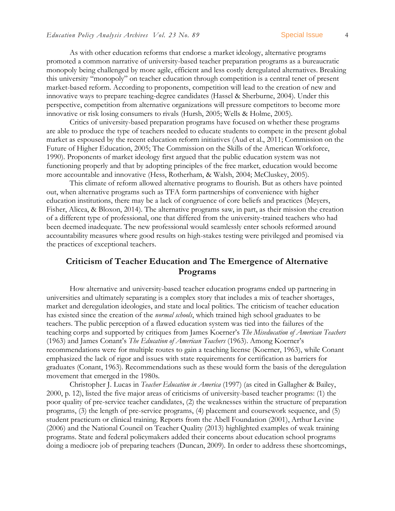As with other education reforms that endorse a market ideology, alternative programs promoted a common narrative of university-based teacher preparation programs as a bureaucratic monopoly being challenged by more agile, efficient and less costly deregulated alternatives. Breaking this university "monopoly" on teacher education through competition is a central tenet of present market-based reform. According to proponents, competition will lead to the creation of new and innovative ways to prepare teaching-degree candidates [\(Hassel & Sherburne, 2004\)](#page-22-0). Under this perspective, competition from alternative organizations will pressure competitors to become more innovative or risk losing consumers to rivals [\(Hursh, 2005;](#page-22-1) [Wells & Holme, 2005\)](#page-25-0).

Critics of university-based preparation programs have focused on whether these programs are able to produce the type of teachers needed to educate students to compete in the present global market as espoused by the recent education reform initiatives [\(Aud et al., 2011;](#page-20-0) [Commission on the](#page-21-0)  [Future of Higher Education, 2005;](#page-21-0) [The Commission on the Skills of the American Workforce,](#page-25-1)  [1990\)](#page-25-1). Proponents of market ideology first argued that the public education system was not functioning properly and that by adopting principles of the free market, education would become more accountable and innovative [\(Hess, Rotherham, & Walsh, 2004;](#page-22-2) [McCluskey, 2005\)](#page-23-0).

This climate of reform allowed alternative programs to flourish. But as others have pointed out, when alternative programs such as TFA form partnerships of convenience with higher education institutions, there may be a lack of congruence of core beliefs and practices [\(Meyers,](#page-23-1)  [Fisher, Alicea, & Bloxon, 2014\)](#page-23-1). The alternative programs saw, in part, as their mission the creation of a different type of professional, one that differed from the university-trained teachers who had been deemed inadequate. The new professional would seamlessly enter schools reformed around accountability measures where good results on high-stakes testing were privileged and promised via the practices of exceptional teachers.

## **Criticism of Teacher Education and The Emergence of Alternative Programs**

How alternative and university-based teacher education programs ended up partnering in universities and ultimately separating is a complex story that includes a mix of teacher shortages, market and deregulation ideologies, and state and local politics. The criticism of teacher education has existed since the creation of the *normal schools*, which trained high school graduates to be teachers. The public perception of a flawed education system was tied into the failures of the teaching corps and supported by critiques from James Koerner's *The Miseducation of American Teachers* [\(1963\)](#page-23-2) and James Conant's *The Education of American Teachers* [\(1963\)](#page-21-1). Among Koerner's recommendations were for multiple routes to gain a teaching license (Koerner, 1963), while Conant emphasized the lack of rigor and issues with state requirements for certification as barriers for graduates (Conant, 1963). Recommendations such as these would form the basis of the deregulation movement that emerged in the 1980s.

Christopher J. Lucas in *Teacher Education in America* (1997) [\(as cited in Gallagher & Bailey,](#page-22-3)  [2000, p. 12\)](#page-22-3), listed the five major areas of criticisms of university-based teacher programs: (1) the poor quality of pre-service teacher candidates, (2) the weaknesses within the structure of preparation programs, (3) the length of pre-service programs, (4) placement and coursework sequence, and (5) student practicum or clinical training. Reports from the Abell Foundation [\(2001\)](#page-20-1), Arthur Levine [\(2006\)](#page-23-3) and the National Council on Teacher Quality [\(2013\)](#page-24-0) highlighted examples of weak training programs. State and federal policymakers added their concerns about education school programs doing a mediocre job of preparing teachers [\(Duncan, 2009\)](#page-21-2). In order to address these shortcomings,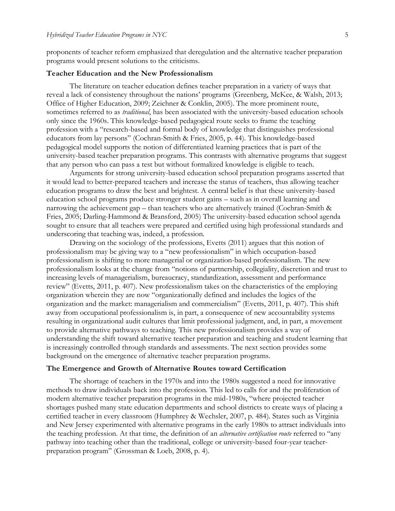proponents of teacher reform emphasized that deregulation and the alternative teacher preparation programs would present solutions to the criticisms.

#### **Teacher Education and the New Professionalism**

The literature on teacher education defines teacher preparation in a variety of ways that reveal a lack of consistency throughout the nations' programs [\(Greenberg, McKee, & Walsh, 2013;](#page-22-4) [Office of Higher Education, 2009;](#page-24-1) [Zeichner & Conklin, 2005\)](#page-26-0). The more prominent route, sometimes referred to as *traditional*, has been associated with the university-based education schools only since the 1960s. This knowledge-based pedagogical route seeks to frame the teaching profession with a "research-based and formal body of knowledge that distinguishes professional educators from lay persons" [\(Cochran-Smith & Fries, 2005, p. 44\)](#page-21-3). This knowledge-based pedagogical model supports the notion of differentiated learning practices that is part of the university-based teacher preparation programs. This contrasts with alternative programs that suggest that any person who can pass a test but without formalized knowledge is eligible to teach.

Arguments for strong university-based education school preparation programs asserted that it would lead to better-prepared teachers and increase the status of teachers, thus allowing teacher education programs to draw the best and brightest. A central belief is that these university-based education school programs produce stronger student gains – such as in overall learning and narrowing the achievement gap – than teachers who are alternatively trained [\(Cochran-Smith &](#page-21-3)  [Fries, 2005;](#page-21-3) [Darling-Hammond & Bransford, 2005\)](#page-21-4) The university-based education school agenda sought to ensure that all teachers were prepared and certified using high professional standards and underscoring that teaching was, indeed, a profession.

Drawing on the sociology of the professions, Evetts (2011) argues that this notion of professionalism may be giving way to a "new professionalism" in which occupation-based professionalism is shifting to more managerial or organization-based professionalism. The new professionalism looks at the change from "notions of partnership, collegiality, discretion and trust to increasing levels of managerialism, bureaucracy, standardization, assessment and performance review" (Evetts, 2011, p. 407). New professionalism takes on the characteristics of the employing organization wherein they are now "organizationally defined and includes the logics of the organization and the market: managerialism and commercialism" (Evetts, 2011, p. 407). This shift away from occupational professionalism is, in part, a consequence of new accountability systems resulting in organizational audit cultures that limit professional judgment, and, in part, a movement to provide alternative pathways to teaching. This new professionalism provides a way of understanding the shift toward alternative teacher preparation and teaching and student learning that is increasingly controlled through standards and assessments. The next section provides some background on the emergence of alternative teacher preparation programs.

#### **The Emergence and Growth of Alternative Routes toward Certification**

The shortage of teachers in the 1970s and into the 1980s suggested a need for innovative methods to draw individuals back into the profession. This led to calls for and the proliferation of modern alternative teacher preparation programs in the mid-1980s, "where projected teacher shortages pushed many state education departments and school districts to create ways of placing a certified teacher in every classroom [\(Humphrey & Wechsler, 2007, p. 484\)](#page-22-5). States such as Virginia and New Jersey experimented with alternative programs in the early 1980s to attract individuals into the teaching profession. At that time, the definition of an *alternative certification route* referred to "any pathway into teaching other than the traditional, college or university-based four-year teacherpreparation program" [\(Grossman & Loeb, 2008, p. 4\)](#page-22-6).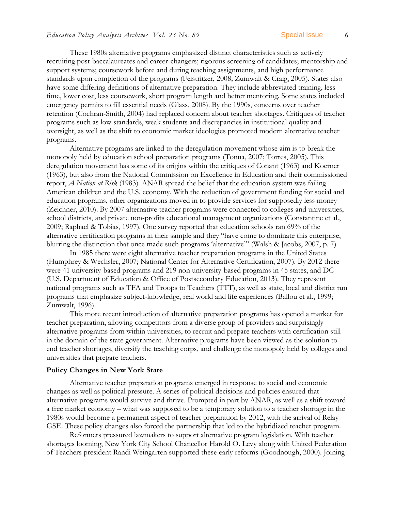These 1980s alternative programs emphasized distinct characteristics such as actively recruiting post-baccalaureates and career-changers; rigorous screening of candidates; mentorship and support systems; coursework before and during teaching assignments, and high performance standards upon completion of the programs [\(Feistritzer, 2008;](#page-22-7) [Zumwalt & Craig, 2005\)](#page-26-1). States also have some differing definitions of alternative preparation. They include abbreviated training, less time, lower cost, less coursework, short program length and better mentoring. Some states included emergency permits to fill essential needs [\(Glass, 2008\)](#page-22-8). By the 1990s, concerns over teacher retention [\(Cochran-Smith, 2004\)](#page-21-5) had replaced concern about teacher shortages. Critiques of teacher programs such as low standards, weak students and discrepancies in institutional quality and oversight, as well as the shift to economic market ideologies promoted modern alternative teacher programs.

Alternative programs are linked to the deregulation movement whose aim is to break the monopoly held by education school preparation programs [\(Tonna, 2007;](#page-25-2) [Torres, 2005\)](#page-25-3). This deregulation movement has some of its origins within the critiques of Conant (1963) and Koerner (1963), but also from the National Commission on Excellence in Education and their commissioned report, *A Nation at Risk* [\(1983\)](#page-23-4). ANAR spread the belief that the education system was failing American children and the U.S. economy. With the reduction of government funding for social and education programs, other organizations moved in to provide services for supposedly less money [\(Zeichner, 2010\)](#page-26-2). By 2007 alternative teacher programs were connected to colleges and universities, school districts, and private non-profits educational management organizations [\(Constantine et al.,](#page-21-6)  [2009;](#page-21-6) [Raphael & Tobias, 1997\)](#page-24-2). One survey reported that education schools ran 69% of the alternative certification programs in their sample and they "have come to dominate this enterprise, blurring the distinction that once made such programs 'alternative'" [\(Walsh & Jacobs, 2007, p. 7\)](#page-25-4)

In 1985 there were eight alternative teacher preparation programs in the United States [\(Humphrey & Wechsler, 2007;](#page-22-5) [National Center for Alternative Certification, 2007\)](#page-23-5). By 2012 there were 41 university-based programs and 219 non university-based programs in 45 states, and DC [\(U.S. Department of Education & Office of Postsecondary Education, 2013\)](#page-25-5). They represent national programs such as TFA and Troops to Teachers (TTT), as well as state, local and district run programs that emphasize subject-knowledge, real world and life experiences [\(Ballou et al., 1999;](#page-21-7) [Zumwalt, 1996\)](#page-26-3).

This more recent introduction of alternative preparation programs has opened a market for teacher preparation, allowing competitors from a diverse group of providers and surprisingly alternative programs from within universities, to recruit and prepare teachers with certification still in the domain of the state government. Alternative programs have been viewed as the solution to end teacher shortages, diversify the teaching corps, and challenge the monopoly held by colleges and universities that prepare teachers.

#### **Policy Changes in New York State**

Alternative teacher preparation programs emerged in response to social and economic changes as well as political pressure. A series of political decisions and policies ensured that alternative programs would survive and thrive. Prompted in part by ANAR, as well as a shift toward a free market economy – what was supposed to be a temporary solution to a teacher shortage in the 1980s would become a permanent aspect of teacher preparation by 2012, with the arrival of Relay GSE. These policy changes also forced the partnership that led to the hybridized teacher program.

Reformers pressured lawmakers to support alternative program legislation. With teacher shortages looming, New York City School Chancellor Harold O. Levy along with United Federation of Teachers president Randi Weingarten supported these early reforms [\(Goodnough, 2000\)](#page-22-9). Joining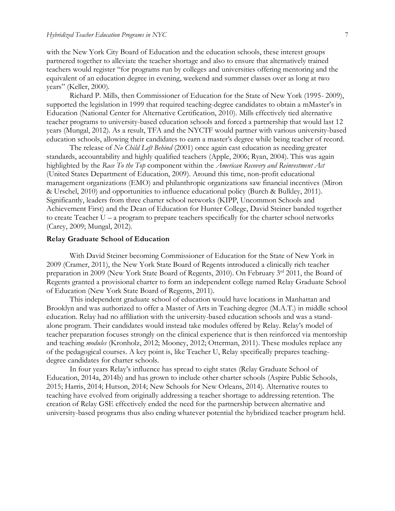with the New York City Board of Education and the education schools, these interest groups partnered together to alleviate the teacher shortage and also to ensure that alternatively trained teachers would register "for programs run by colleges and universities offering mentoring and the equivalent of an education degree in evening, weekend and summer classes over as long at two years" [\(Keller, 2000\)](#page-23-6).

Richard P. Mills, then Commissioner of Education for the State of New York (1995- 2009), supported the legislation in 1999 that required teaching-degree candidates to obtain a mMaster's in Education [\(National Center for Alternative Certification, 2010\)](#page-23-7). Mills effectively tied alternative teacher programs to university-based education schools and forced a partnership that would last 12 years (Mungal, 2012). As a result, TFA and the NYCTF would partner with various university-based education schools, allowing their candidates to earn a master's degree while being teacher of record.

The release of *No Child Left Behind* [\(2001\)](#page-25-6) once again cast education as needing greater standards, accountability and highly qualified teachers [\(Apple, 2006;](#page-20-2) [Ryan, 2004\)](#page-24-3). This was again highlighted by the *Race To the Top* component within the *American Recovery and Reinvestment Act* [\(United States Department of Education, 2009\)](#page-25-7). Around this time, non-profit educational management organizations (EMO) and philanthropic organizations saw financial incentives [\(Miron](#page-23-8)  [& Urschel, 2010\)](#page-23-8) and opportunities to influence educational policy [\(Burch & Bulkley, 2011\)](#page-21-8). Significantly, leaders from three charter school networks (KIPP, Uncommon Schools and Achievement First) and the Dean of Education for Hunter College, David Steiner banded together to create Teacher U – a program to prepare teachers specifically for the charter school networks [\(Carey, 2009;](#page-21-9) [Mungal, 2012\)](#page-23-9).

#### **Relay Graduate School of Education**

With David Steiner becoming Commissioner of Education for the State of New York in 2009 [\(Cramer, 2011\)](#page-21-10), the New York State Board of Regents introduced a clinically rich teacher preparation in 2009 [\(New York State Board of Regents, 2010\)](#page-24-4). On February 3rd 2011, the Board of Regents granted a provisional charter to form an independent college named Relay Graduate School of Education [\(New York State Board of Regents, 2011\)](#page-24-5).

This independent graduate school of education would have locations in Manhattan and Brooklyn and was authorized to offer a Master of Arts in Teaching degree (M.A.T.) in middle school education. Relay had no affiliation with the university-based education schools and was a standalone program. Their candidates would instead take modules offered by Relay. Relay's model of teacher preparation focuses strongly on the clinical experience that is then reinforced via mentorship and teaching *modules* [\(Kronholz, 2012;](#page-23-10) [Mooney, 2012;](#page-23-11) [Otterman, 2011\)](#page-24-6). These modules replace any of the pedagogical courses. A key point is, like Teacher U, Relay specifically prepares teachingdegree candidates for charter schools.

In four years Relay's influence has spread to eight states [\(Relay Graduate School of](#page-24-7)  [Education, 2014a,](#page-24-7) [2014b\)](#page-24-8) and has grown to include other charter schools [\(Aspire Public Schools,](#page-20-3) [2015;](#page-20-3) [Harris, 2014;](#page-22-10) [Hutson, 2014;](#page-22-11) [New Schools for New Orleans, 2014\)](#page-24-9). Alternative routes to teaching have evolved from originally addressing a teacher shortage to addressing retention. The creation of Relay GSE effectively ended the need for the partnership between alternative and university-based programs thus also ending whatever potential the hybridized teacher program held.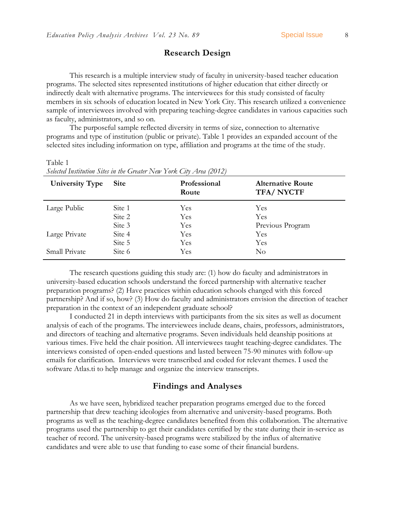## **Research Design**

This research is a multiple interview study of faculty in university-based teacher education programs. The selected sites represented institutions of higher education that either directly or indirectly dealt with alternative programs. The interviewees for this study consisted of faculty members in six schools of education located in New York City. This research utilized a convenience sample of interviewees involved with preparing teaching-degree candidates in various capacities such as faculty, administrators, and so on.

The purposeful sample reflected diversity in terms of size, connection to alternative programs and type of institution (public or private). Table 1 provides an expanded account of the selected sites including information on type, affiliation and programs at the time of the study.

**University Type Site Professional Route Alternative Route TFA/ NYCTF** Large Public Large Private Small Private Site 1 Site 2 Site 3 Site 4 Site 5 Site 6 Yes Yes Yes Yes Yes Yes Yes Yes Previous Program Yes Yes No

Table 1 *Selected Institution Sites in the Greater New York City Area (2012)*

The research questions guiding this study are: (1) how do faculty and administrators in university-based education schools understand the forced partnership with alternative teacher preparation programs? (2) Have practices within education schools changed with this forced partnership? And if so, how? (3) How do faculty and administrators envision the direction of teacher preparation in the context of an independent graduate school?

I conducted 21 in depth interviews with participants from the six sites as well as document analysis of each of the programs. The interviewees include deans, chairs, professors, administrators, and directors of teaching and alternative programs. Seven individuals held deanship positions at various times. Five held the chair position. All interviewees taught teaching-degree candidates. The interviews consisted of open-ended questions and lasted between 75-90 minutes with follow-up emails for clarification. Interviews were transcribed and coded for relevant themes. I used the software Atlas.ti to help manage and organize the interview transcripts.

## **Findings and Analyses**

As we have seen, hybridized teacher preparation programs emerged due to the forced partnership that drew teaching ideologies from alternative and university-based programs. Both programs as well as the teaching-degree candidates benefited from this collaboration. The alternative programs used the partnership to get their candidates certified by the state during their in-service as teacher of record. The university-based programs were stabilized by the influx of alternative candidates and were able to use that funding to ease some of their financial burdens.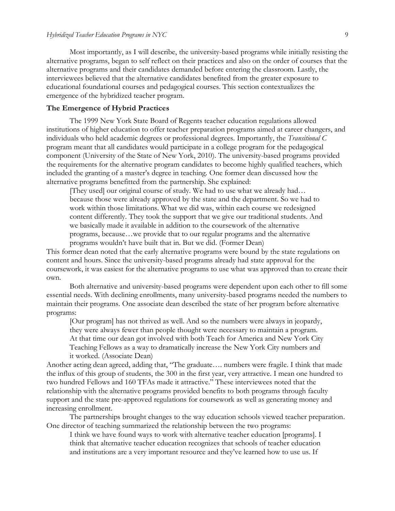Most importantly, as I will describe, the university-based programs while initially resisting the alternative programs, began to self reflect on their practices and also on the order of courses that the alternative programs and their candidates demanded before entering the classroom. Lastly, the interviewees believed that the alternative candidates benefited from the greater exposure to educational foundational courses and pedagogical courses. This section contextualizes the emergence of the hybridized teacher program.

#### **The Emergence of Hybrid Practices**

The 1999 New York State Board of Regents teacher education regulations allowed institutions of higher education to offer teacher preparation programs aimed at career changers, and individuals who held academic degrees or professional degrees. Importantly, the *Transitional C* program meant that all candidates would participate in a college program for the pedagogical component [\(University of the State of New York, 2010\)](#page-25-8). The university-based programs provided the requirements for the alternative program candidates to become highly qualified teachers, which included the granting of a master's degree in teaching. One former dean discussed how the alternative programs benefitted from the partnership. She explained:

[They used] our original course of study. We had to use what we already had… because those were already approved by the state and the department. So we had to work within those limitations. What we did was, within each course we redesigned content differently. They took the support that we give our traditional students. And we basically made it available in addition to the coursework of the alternative programs, because…we provide that to our regular programs and the alternative programs wouldn't have built that in. But we did. (Former Dean)

This former dean noted that the early alternative programs were bound by the state regulations on content and hours. Since the university-based programs already had state approval for the coursework, it was easiest for the alternative programs to use what was approved than to create their own.

Both alternative and university-based programs were dependent upon each other to fill some essential needs. With declining enrollments, many university-based programs needed the numbers to maintain their programs. One associate dean described the state of her program before alternative programs:

[Our program] has not thrived as well. And so the numbers were always in jeopardy, they were always fewer than people thought were necessary to maintain a program. At that time our dean got involved with both Teach for America and New York City Teaching Fellows as a way to dramatically increase the New York City numbers and it worked. (Associate Dean)

Another acting dean agreed, adding that, "The graduate…. numbers were fragile. I think that made the influx of this group of students, the 300 in the first year, very attractive. I mean one hundred to two hundred Fellows and 160 TFAs made it attractive." These interviewees noted that the relationship with the alternative programs provided benefits to both programs through faculty support and the state pre-approved regulations for coursework as well as generating money and increasing enrollment.

The partnerships brought changes to the way education schools viewed teacher preparation. One director of teaching summarized the relationship between the two programs:

I think we have found ways to work with alternative teacher education [programs]. I think that alternative teacher education recognizes that schools of teacher education and institutions are a very important resource and they've learned how to use us. If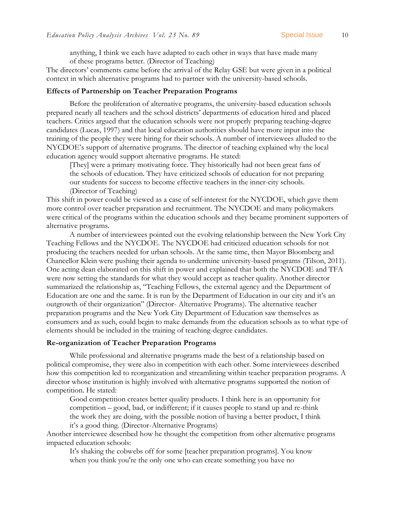anything, I think we each have adapted to each other in ways that have made many of these programs better. (Director of Teaching)

The directors' comments came before the arrival of the Relay GSE but were given in a political context in which alternative programs had to partner with the university-based schools.

#### **Effects of Partnership on Teacher Preparation Programs**

Before the proliferation of alternative programs, the university-based education schools prepared nearly all teachers and the school districts' departments of education hired and placed teachers. Critics argued that the education schools were not properly preparing teaching-degree candidates [\(Lucas, 1997\)](#page-23-12) and that local education authorities should have more input into the training of the people they were hiring for their schools. A number of interviewees alluded to the NYCDOE's support of alternative programs. The director of teaching explained why the local education agency would support alternative programs. He stated:

[They] were a primary motivating force. They historically had not been great fans of the schools of education. They have criticized schools of education for not preparing our students for success to become effective teachers in the inner-city schools. (Director of Teaching)

This shift in power could be viewed as a case of self-interest for the NYCDOE, which gave them more control over teacher preparation and recruitment. The NYCDOE and many policymakers were critical of the programs within the education schools and they became prominent supporters of alternative programs.

A number of interviewees pointed out the evolving relationship between the New York City Teaching Fellows and the NYCDOE. The NYCDOE had criticized education schools for not producing the teachers needed for urban schools. At the same time, then Mayor Bloomberg and Chancellor Klein were pushing their agenda to undermine university-based programs [\(Tilson, 2011\)](#page-25-9). One acting dean elaborated on this shift in power and explained that both the NYCDOE and TFA were now setting the standards for what they would accept as teacher quality. Another director summarized the relationship as, "Teaching Fellows, the external agency and the Department of Education are one and the same. It is run by the Department of Education in our city and it's an outgrowth of their organization" (Director- Alternative Programs). The alternative teacher preparation programs and the New York City Department of Education saw themselves as consumers and as such, could begin to make demands from the education schools as to what type of elements should be included in the training of teaching-degree candidates.

#### **Re-organization of Teacher Preparation Programs**

While professional and alternative programs made the best of a relationship based on political compromise, they were also in competition with each other. Some interviewees described how this competition led to reorganization and streamlining within teacher preparation programs. A director whose institution is highly involved with alternative programs supported the notion of competition. He stated:

Good competition creates better quality products. I think here is an opportunity for competition – good, bad, or indifferent; if it causes people to stand up and re-think the work they are doing, with the possible notion of having a better product, I think it's a good thing. (Director-Alternative Programs)

Another interviewee described how he thought the competition from other alternative programs impacted education schools:

It's shaking the cobwebs off for some [teacher preparation programs]. You know when you think you're the only one who can create something you have no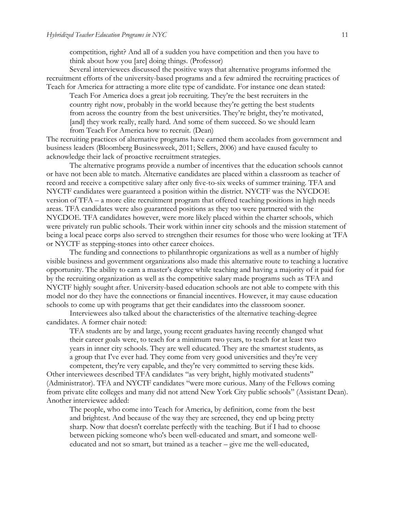competition, right? And all of a sudden you have competition and then you have to think about how you [are] doing things. (Professor)

Several interviewees discussed the positive ways that alternative programs informed the recruitment efforts of the university-based programs and a few admired the recruiting practices of Teach for America for attracting a more elite type of candidate. For instance one dean stated:

Teach For America does a great job recruiting. They're the best recruiters in the country right now, probably in the world because they're getting the best students from across the country from the best universities. They're bright, they're motivated, [and] they work really, really hard. And some of them succeed. So we should learn from Teach For America how to recruit. (Dean)

The recruiting practices of alternative programs have earned them accolades from government and business leaders [\(Bloomberg Businessweek, 2011;](#page-21-11) [Sellers, 2006\)](#page-24-10) and have caused faculty to acknowledge their lack of proactive recruitment strategies.

The alternative programs provide a number of incentives that the education schools cannot or have not been able to match. Alternative candidates are placed within a classroom as teacher of record and receive a competitive salary after only five-to-six weeks of summer training. TFA and NYCTF candidates were guaranteed a position within the district. NYCTF was the NYCDOE version of TFA – a more elite recruitment program that offered teaching positions in high needs areas. TFA candidates were also guaranteed positions as they too were partnered with the NYCDOE. TFA candidates however, were more likely placed within the charter schools, which were privately run public schools. Their work within inner city schools and the mission statement of being a local peace corps also served to strengthen their resumes for those who were looking at TFA or NYCTF as stepping-stones into other career choices.

The funding and connections to philanthropic organizations as well as a number of highly visible business and government organizations also made this alternative route to teaching a lucrative opportunity. The ability to earn a master's degree while teaching and having a majority of it paid for by the recruiting organization as well as the competitive salary made programs such as TFA and NYCTF highly sought after. University-based education schools are not able to compete with this model nor do they have the connections or financial incentives. However, it may cause education schools to come up with programs that get their candidates into the classroom sooner.

Interviewees also talked about the characteristics of the alternative teaching-degree candidates. A former chair noted:

TFA students are by and large, young recent graduates having recently changed what their career goals were, to teach for a minimum two years, to teach for at least two years in inner city schools. They are well educated. They are the smartest students, as a group that I've ever had. They come from very good universities and they're very competent, they're very capable, and they're very committed to serving these kids.

Other interviewees described TFA candidates "as very bright, highly motivated students" (Administrator). TFA and NYCTF candidates "were more curious. Many of the Fellows coming from private elite colleges and many did not attend New York City public schools" (Assistant Dean). Another interviewee added:

The people, who come into Teach for America, by definition, come from the best and brightest. And because of the way they are screened, they end up being pretty sharp. Now that doesn't correlate perfectly with the teaching. But if I had to choose between picking someone who's been well-educated and smart, and someone welleducated and not so smart, but trained as a teacher – give me the well-educated,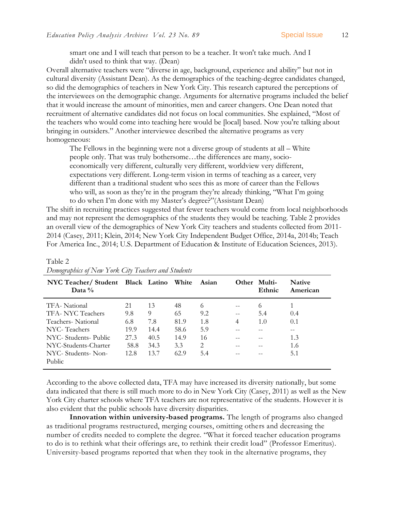smart one and I will teach that person to be a teacher. It won't take much. And I didn't used to think that way. (Dean)

Overall alternative teachers were "diverse in age, background, experience and ability" but not in cultural diversity (Assistant Dean). As the demographics of the teaching-degree candidates changed, so did the demographics of teachers in New York City. This research captured the perceptions of the interviewees on the demographic change. Arguments for alternative programs included the belief that it would increase the amount of minorities, men and career changers. One Dean noted that recruitment of alternative candidates did not focus on local communities. She explained, "Most of the teachers who would come into teaching here would be [local] based. Now you're talking about bringing in outsiders." Another interviewee described the alternative programs as very homogeneous:

The Fellows in the beginning were not a diverse group of students at all – White people only. That was truly bothersome…the differences are many, socioeconomically very different, culturally very different, worldview very different, expectations very different. Long-term vision in terms of teaching as a career, very different than a traditional student who sees this as more of career than the Fellows who will, as soon as they're in the program they're already thinking, "What I'm going to do when I'm done with my Master's degree?"(Assistant Dean)

The shift in recruiting practices suggested that fewer teachers would come from local neighborhoods and may not represent the demographics of the students they would be teaching. Table 2 provides an overall view of the demographics of New York City teachers and students collected from 2011- 2014 [\(Casey, 2011;](#page-21-12) [Klein, 2014;](#page-23-13) [New York City Independent Budget Office, 2014a,](#page-24-11) [2014b;](#page-24-12) [Teach](#page-25-10)  [For America Inc., 2014;](#page-25-10) [U.S. Department of Education & Institute of Education Sciences, 2013\)](#page-25-11).

| NYC Teacher/Student Black Latino White<br>Data $\%$ |      |      |      | Asian | <b>Other</b> | Multi-<br>Ethnic | <b>Native</b><br>American |
|-----------------------------------------------------|------|------|------|-------|--------------|------------------|---------------------------|
| TFA-National                                        | 21   | 13   | 48   | 6     | $-$          | 6                |                           |
| TFA- NYC Teachers                                   | 9.8  | 9    | 65   | 9.2   | $-$          | 5.4              | 0.4                       |
| Teachers-National                                   | 6.8  | 7.8  | 81.9 | 1.8   | 4            | 1.0              | 0.1                       |
| NYC-Teachers                                        | 19.9 | 14.4 | 58.6 | 5.9   |              |                  |                           |
| NYC- Students- Public                               | 27.3 | 40.5 | 14.9 | 16    |              |                  | 1.3                       |
| NYC-Students-Charter                                | 58.8 | 34.3 | 3.3  | 2     |              |                  | 1.6                       |
| NYC- Students- Non-<br><b>Public</b>                | 12.8 | 13.7 | 62.9 | 5.4   |              |                  | 5.1                       |

Table 2 *Demographics of New York City Teachers and Students*

According to the above collected data, TFA may have increased its diversity nationally, but some data indicated that there is still much more to do in New York City (Casey, 2011) as well as the New York City charter schools where TFA teachers are not representative of the students. However it is also evident that the public schools have diversity disparities.

**Innovation within university-based programs.** The length of programs also changed as traditional programs restructured, merging courses, omitting others and decreasing the number of credits needed to complete the degree. "What it forced teacher education programs to do is to rethink what their offerings are, to rethink their credit load" (Professor Emeritus). University-based programs reported that when they took in the alternative programs, they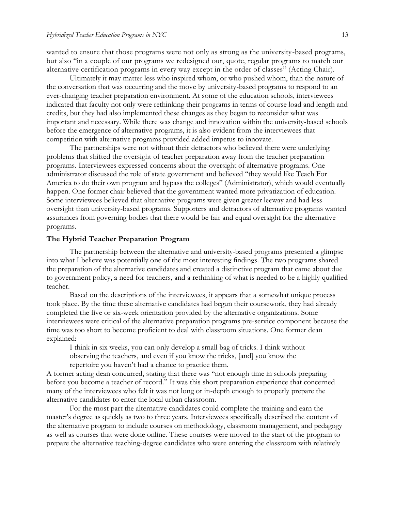wanted to ensure that those programs were not only as strong as the university-based programs, but also "in a couple of our programs we redesigned our, quote, regular programs to match our alternative certification programs in every way except in the order of classes" (Acting Chair).

Ultimately it may matter less who inspired whom, or who pushed whom, than the nature of the conversation that was occurring and the move by university-based programs to respond to an ever-changing teacher preparation environment. At some of the education schools, interviewees indicated that faculty not only were rethinking their programs in terms of course load and length and credits, but they had also implemented these changes as they began to reconsider what was important and necessary. While there was change and innovation within the university-based schools before the emergence of alternative programs, it is also evident from the interviewees that competition with alternative programs provided added impetus to innovate.

The partnerships were not without their detractors who believed there were underlying problems that shifted the oversight of teacher preparation away from the teacher preparation programs. Interviewees expressed concerns about the oversight of alternative programs. One administrator discussed the role of state government and believed "they would like Teach For America to do their own program and bypass the colleges" (Administrator), which would eventually happen. One former chair believed that the government wanted more privatization of education. Some interviewees believed that alternative programs were given greater leeway and had less oversight than university-based programs. Supporters and detractors of alternative programs wanted assurances from governing bodies that there would be fair and equal oversight for the alternative programs.

#### **The Hybrid Teacher Preparation Program**

The partnership between the alternative and university-based programs presented a glimpse into what I believe was potentially one of the most interesting findings. The two programs shared the preparation of the alternative candidates and created a distinctive program that came about due to government policy, a need for teachers, and a rethinking of what is needed to be a highly qualified teacher.

Based on the descriptions of the interviewees, it appears that a somewhat unique process took place. By the time these alternative candidates had begun their coursework, they had already completed the five or six-week orientation provided by the alternative organizations. Some interviewees were critical of the alternative preparation programs pre-service component because the time was too short to become proficient to deal with classroom situations. One former dean explained:

I think in six weeks, you can only develop a small bag of tricks. I think without observing the teachers, and even if you know the tricks, [and] you know the repertoire you haven't had a chance to practice them.

A former acting dean concurred, stating that there was "not enough time in schools preparing before you become a teacher of record." It was this short preparation experience that concerned many of the interviewees who felt it was not long or in-depth enough to properly prepare the alternative candidates to enter the local urban classroom.

For the most part the alternative candidates could complete the training and earn the master's degree as quickly as two to three years. Interviewees specifically described the content of the alternative program to include courses on methodology, classroom management, and pedagogy as well as courses that were done online. These courses were moved to the start of the program to prepare the alternative teaching-degree candidates who were entering the classroom with relatively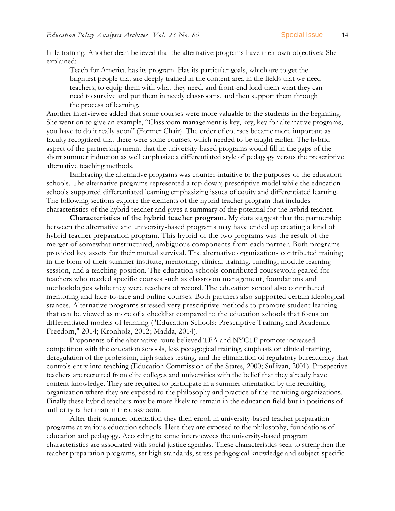little training. Another dean believed that the alternative programs have their own objectives: She explained:

Teach for America has its program. Has its particular goals, which are to get the brightest people that are deeply trained in the content area in the fields that we need teachers, to equip them with what they need, and front-end load them what they can need to survive and put them in needy classrooms, and then support them through the process of learning.

Another interviewee added that some courses were more valuable to the students in the beginning. She went on to give an example, "Classroom management is key, key, key for alternative programs, you have to do it really soon" (Former Chair). The order of courses became more important as faculty recognized that there were some courses, which needed to be taught earlier. The hybrid aspect of the partnership meant that the university-based programs would fill in the gaps of the short summer induction as well emphasize a differentiated style of pedagogy versus the prescriptive alternative teaching methods.

Embracing the alternative programs was counter-intuitive to the purposes of the education schools. The alternative programs represented a top-down; prescriptive model while the education schools supported differentiated learning emphasizing issues of equity and differentiated learning. The following sections explore the elements of the hybrid teacher program that includes characteristics of the hybrid teacher and gives a summary of the potential for the hybrid teacher.

**Characteristics of the hybrid teacher program.** My data suggest that the partnership between the alternative and university-based programs may have ended up creating a kind of hybrid teacher preparation program. This hybrid of the two programs was the result of the merger of somewhat unstructured, ambiguous components from each partner. Both programs provided key assets for their mutual survival. The alternative organizations contributed training in the form of their summer institute, mentoring, clinical training, funding, module learning session, and a teaching position. The education schools contributed coursework geared for teachers who needed specific courses such as classroom management, foundations and methodologies while they were teachers of record. The education school also contributed mentoring and face-to-face and online courses. Both partners also supported certain ideological stances. Alternative programs stressed very prescriptive methods to promote student learning that can be viewed as more of a checklist compared to the education schools that focus on differentiated models of learning [\("Education Schools: Prescriptive Training and Academic](#page-22-12)  [Freedom," 2014;](#page-22-12) [Kronholz, 2012;](#page-23-10) [Madda, 2014\)](#page-23-14).

Proponents of the alternative route believed TFA and NYCTF promote increased competition with the education schools, less pedagogical training, emphasis on clinical training, deregulation of the profession, high stakes testing, and the elimination of regulatory bureaucracy that controls entry into teaching [\(Education Commission of the States, 2000;](#page-22-13) [Sullivan, 2001\)](#page-25-12). Prospective teachers are recruited from elite colleges and universities with the belief that they already have content knowledge. They are required to participate in a summer orientation by the recruiting organization where they are exposed to the philosophy and practice of the recruiting organizations. Finally these hybrid teachers may be more likely to remain in the education field but in positions of authority rather than in the classroom.

After their summer orientation they then enroll in university-based teacher preparation programs at various education schools. Here they are exposed to the philosophy, foundations of education and pedagogy. According to some interviewees the university-based program characteristics are associated with social justice agendas. These characteristics seek to strengthen the teacher preparation programs, set high standards, stress pedagogical knowledge and subject-specific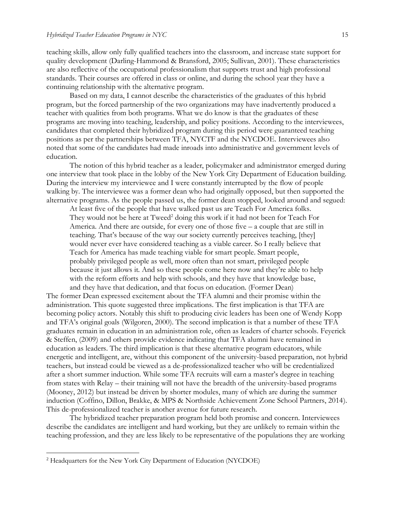teaching skills, allow only fully qualified teachers into the classroom, and increase state support for quality development (Darling-Hammond & Bransford, 2005; Sullivan, 2001). These characteristics are also reflective of the occupational professionalism that supports trust and high professional standards. Their courses are offered in class or online, and during the school year they have a continuing relationship with the alternative program.

Based on my data, I cannot describe the characteristics of the graduates of this hybrid program, but the forced partnership of the two organizations may have inadvertently produced a teacher with qualities from both programs. What we do know is that the graduates of these programs are moving into teaching, leadership, and policy positions. According to the interviewees, candidates that completed their hybridized program during this period were guaranteed teaching positions as per the partnerships between TFA, NYCTF and the NYCDOE. Interviewees also noted that some of the candidates had made inroads into administrative and government levels of education.

The notion of this hybrid teacher as a leader, policymaker and administrator emerged during one interview that took place in the lobby of the New York City Department of Education building. During the interview my interviewee and I were constantly interrupted by the flow of people walking by. The interviewee was a former dean who had originally opposed, but then supported the alternative programs. As the people passed us, the former dean stopped, looked around and segued:

At least five of the people that have walked past us are Teach For America folks. They would not be here at Tweed<sup>2</sup> doing this work if it had not been for Teach For America. And there are outside, for every one of those five – a couple that are still in teaching. That's because of the way our society currently perceives teaching, [they] would never ever have considered teaching as a viable career. So I really believe that Teach for America has made teaching viable for smart people. Smart people, probably privileged people as well, more often than not smart, privileged people because it just allows it. And so these people come here now and they're able to help with the reform efforts and help with schools, and they have that knowledge base, and they have that dedication, and that focus on education. (Former Dean)

The former Dean expressed excitement about the TFA alumni and their promise within the administration. This quote suggested three implications. The first implication is that TFA are becoming policy actors. Notably this shift to producing civic leaders has been one of Wendy Kopp and TFA's original goals [\(Wilgoren, 2000\)](#page-25-13). The second implication is that a number of these TFA graduates remain in education in an administration role, often as leaders of charter schools. Feyerick & Steffen, [\(2009\)](#page-22-14) and others provide evidence indicating that TFA alumni have remained in education as leaders. The third implication is that these alternative program educators, while energetic and intelligent, are, without this component of the university-based preparation, not hybrid teachers, but instead could be viewed as a de-professionalized teacher who will be credentialized after a short summer induction. While some TFA recruits will earn a master's degree in teaching from states with Relay – their training will not have the breadth of the university-based programs [\(Mooney, 2012\)](#page-23-11) but instead be driven by shorter modules, many of which are during the summer induction [\(Coffino, Dillon, Brakke, & MPS & Northside Achievement Zone School Partners, 2014\)](#page-21-13). This de-professionalized teacher is another avenue for future research.

The hybridized teacher preparation program held both promise and concern. Interviewees describe the candidates are intelligent and hard working, but they are unlikely to remain within the teaching profession, and they are less likely to be representative of the populations they are working

 $\overline{a}$ 

<sup>2</sup> Headquarters for the New York City Department of Education (NYCDOE)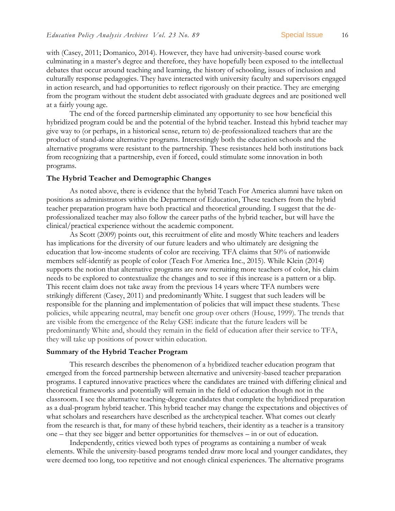with [\(Casey, 2011;](#page-21-12) [Domanico, 2014\)](#page-21-14). However, they have had university-based course work culminating in a master's degree and therefore, they have hopefully been exposed to the intellectual debates that occur around teaching and learning, the history of schooling, issues of inclusion and culturally response pedagogies. They have interacted with university faculty and supervisors engaged in action research, and had opportunities to reflect rigorously on their practice. They are emerging from the program without the student debt associated with graduate degrees and are positioned well at a fairly young age.

The end of the forced partnership eliminated any opportunity to see how beneficial this hybridized program could be and the potential of the hybrid teacher. Instead this hybrid teacher may give way to (or perhaps, in a historical sense, return to) de-professionalized teachers that are the product of stand-alone alternative programs. Interestingly both the education schools and the alternative programs were resistant to the partnership. These resistances held both institutions back from recognizing that a partnership, even if forced, could stimulate some innovation in both programs.

#### **The Hybrid Teacher and Demographic Changes**

As noted above, there is evidence that the hybrid Teach For America alumni have taken on positions as administrators within the Department of Education, These teachers from the hybrid teacher preparation program have both practical and theoretical grounding. I suggest that the deprofessionalized teacher may also follow the career paths of the hybrid teacher, but will have the clinical/practical experience without the academic component.

As Scott [\(2009\)](#page-24-13) points out, this recruitment of elite and mostly White teachers and leaders has implications for the diversity of our future leaders and who ultimately are designing the education that low-income students of color are receiving. TFA claims that 50% of nationwide members self-identify as people of color [\(Teach For America Inc., 2015\)](#page-25-14). While Klein (2014) supports the notion that alternative programs are now recruiting more teachers of color, his claim needs to be explored to contextualize the changes and to see if this increase is a pattern or a blip. This recent claim does not take away from the previous 14 years where TFA numbers were strikingly different [\(Casey, 2011\)](#page-21-12) and predominantly White. I suggest that such leaders will be responsible for the planning and implementation of policies that will impact these students. These policies, while appearing neutral, may benefit one group over others [\(House, 1999\)](#page-22-15). The trends that are visible from the emergence of the Relay GSE indicate that the future leaders will be predominantly White and, should they remain in the field of education after their service to TFA, they will take up positions of power within education.

#### **Summary of the Hybrid Teacher Program**

This research describes the phenomenon of a hybridized teacher education program that emerged from the forced partnership between alternative and university-based teacher preparation programs. I captured innovative practices where the candidates are trained with differing clinical and theoretical frameworks and potentially will remain in the field of education though not in the classroom. I see the alternative teaching-degree candidates that complete the hybridized preparation as a dual-program hybrid teacher. This hybrid teacher may change the expectations and objectives of what scholars and researchers have described as the archetypical teacher. What comes out clearly from the research is that, for many of these hybrid teachers, their identity as a teacher is a transitory one – that they see bigger and better opportunities for themselves – in or out of education.

Independently, critics viewed both types of programs as containing a number of weak elements. While the university-based programs tended draw more local and younger candidates, they were deemed too long, too repetitive and not enough clinical experiences. The alternative programs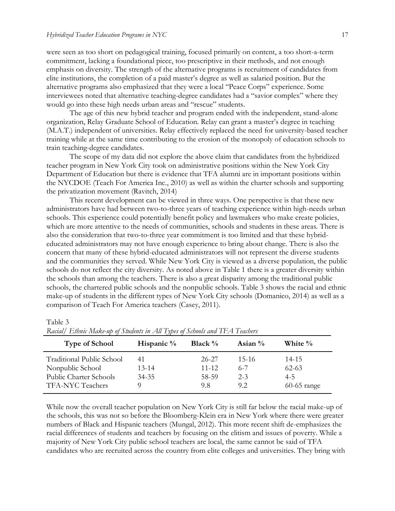were seen as too short on pedagogical training, focused primarily on content, a too short-a-term commitment, lacking a foundational piece, too prescriptive in their methods, and not enough emphasis on diversity. The strength of the alternative programs is recruitment of candidates from elite institutions, the completion of a paid master's degree as well as salaried position. But the alternative programs also emphasized that they were a local "Peace Corps" experience. Some interviewees noted that alternative teaching-degree candidates had a "savior complex" where they would go into these high needs urban areas and "rescue" students.

The age of this new hybrid teacher and program ended with the independent, stand-alone organization, Relay Graduate School of Education. Relay can grant a master's degree in teaching (M.A.T.) independent of universities. Relay effectively replaced the need for university-based teacher training while at the same time contributing to the erosion of the monopoly of education schools to train teaching-degree candidates.

The scope of my data did not explore the above claim that candidates from the hybridized teacher program in New York City took on administrative positions within the New York City Department of Education but there is evidence that TFA alumni are in important positions within the NYCDOE [\(Teach For America Inc., 2010\)](#page-25-15) as well as within the charter schools and supporting the privatization movement [\(Ravitch, 2014\)](#page-24-14)

This recent development can be viewed in three ways. One perspective is that these new administrators have had between two-to-three years of teaching experience within high-needs urban schools. This experience could potentially benefit policy and lawmakers who make create policies, which are more attentive to the needs of communities, schools and students in these areas. There is also the consideration that two-to-three year commitment is too limited and that these hybrideducated administrators may not have enough experience to bring about change. There is also the concern that many of these hybrid-educated administrators will not represent the diverse students and the communities they served. While New York City is viewed as a diverse population, the public schools do not reflect the city diversity. As noted above in Table 1 there is a greater diversity within the schools than among the teachers. There is also a great disparity among the traditional public schools, the chartered public schools and the nonpublic schools. Table 3 shows the racial and ethnic make-up of students in the different types of New York City schools [\(Domanico, 2014\)](#page-21-14) as well as a comparison of Teach For America teachers [\(Casey, 2011\)](#page-21-12).

Table 3

| <b>Type of School</b>            | Hispanic $\%$ | Black $\%$ | Asian $\%$ | White %       |
|----------------------------------|---------------|------------|------------|---------------|
| <b>Traditional Public School</b> | 41            | 26-27      | 15-16      | 14-15         |
| Nonpublic School                 | $13 - 14$     | $11 - 12$  | $6 - 7$    | $62 - 63$     |
| Public Charter Schools           | $34 - 35$     | 58-59      | $2 - 3$    | $4 - 5$       |
| <b>TFA-NYC Teachers</b>          |               | 9.8        | 92         | $60-65$ range |

*Racial/ Ethnic Make-up of Students in All Types of Schools and TFA Teachers*

While now the overall teacher population on New York City is still far below the racial make-up of the schools, this was not so before the Bloomberg-Klein era in New York where there were greater numbers of Black and Hispanic teachers (Mungal, 2012). This more recent shift de-emphasizes the racial differences of students and teachers by focusing on the elitism and issues of poverty. While a majority of New York City public school teachers are local, the same cannot be said of TFA candidates who are recruited across the country from elite colleges and universities. They bring with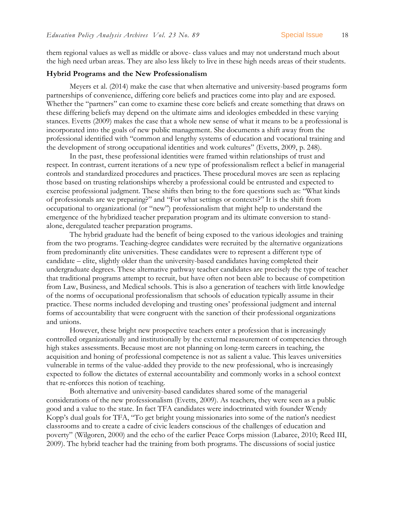them regional values as well as middle or above- class values and may not understand much about the high need urban areas. They are also less likely to live in these high needs areas of their students.

#### **Hybrid Programs and the New Professionalism**

[Meyers et al. \(2014\)](#page-23-1) make the case that when alternative and university-based programs form partnerships of convenience, differing core beliefs and practices come into play and are exposed. Whether the "partners" can come to examine these core beliefs and create something that draws on these differing beliefs may depend on the ultimate aims and ideologies embedded in these varying stances. Evetts (2009) makes the case that a whole new sense of what it means to be a professional is incorporated into the goals of new public management. She documents a shift away from the professional identified with "common and lengthy systems of education and vocational training and the development of strong occupational identities and work cultures" (Evetts, 2009, p. 248).

In the past, these professional identities were framed within relationships of trust and respect. In contrast, current iterations of a new type of professionalism reflect a belief in managerial controls and standardized procedures and practices. These procedural moves are seen as replacing those based on trusting relationships whereby a professional could be entrusted and expected to exercise professional judgment. These shifts then bring to the fore questions such as: "What kinds of professionals are we preparing?" and "For what settings or contexts?" It is the shift from occupational to organizational (or "new") professionalism that might help to understand the emergence of the hybridized teacher preparation program and its ultimate conversion to standalone, deregulated teacher preparation programs.

The hybrid graduate had the benefit of being exposed to the various ideologies and training from the two programs. Teaching-degree candidates were recruited by the alternative organizations from predominantly elite universities. These candidates were to represent a different type of candidate – elite, slightly older than the university-based candidates having completed their undergraduate degrees. These alternative pathway teacher candidates are precisely the type of teacher that traditional programs attempt to recruit, but have often not been able to because of competition from Law, Business, and Medical schools. This is also a generation of teachers with little knowledge of the norms of occupational professionalism that schools of education typically assume in their practice. These norms included developing and trusting ones' professional judgment and internal forms of accountability that were congruent with the sanction of their professional organizations and unions.

However, these bright new prospective teachers enter a profession that is increasingly controlled organizationally and institutionally by the external measurement of competencies through high stakes assessments. Because most are not planning on long-term careers in teaching, the acquisition and honing of professional competence is not as salient a value. This leaves universities vulnerable in terms of the value-added they provide to the new professional, who is increasingly expected to follow the dictates of external accountability and commonly works in a school context that re-enforces this notion of teaching.

Both alternative and university-based candidates shared some of the managerial considerations of the new professionalism (Evetts, 2009). As teachers, they were seen as a public good and a value to the state. In fact TFA candidates were indoctrinated with founder Wendy Kopp's dual goals for TFA, "To get bright young missionaries into some of the nation's neediest classrooms and to create a cadre of civic leaders conscious of the challenges of education and poverty" (Wilgoren, 2000) and the echo of the earlier Peace Corps mission [\(Labaree, 2010;](#page-23-15) [Reed III,](#page-24-15)  [2009\)](#page-24-15). The hybrid teacher had the training from both programs. The discussions of social justice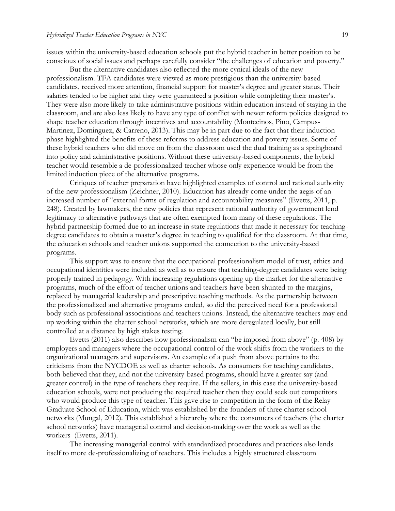issues within the university-based education schools put the hybrid teacher in better position to be conscious of social issues and perhaps carefully consider "the challenges of education and poverty."

But the alternative candidates also reflected the more cynical ideals of the new professionalism. TFA candidates were viewed as more prestigious than the university-based candidates, received more attention, financial support for master's degree and greater status. Their salaries tended to be higher and they were guaranteed a position while completing their master's. They were also more likely to take administrative positions within education instead of staying in the classroom, and are also less likely to have any type of conflict with newer reform policies designed to shape teacher education through incentives and accountability [\(Montecinos, Pino, Campus-](#page-23-16)[Martinez, Dominguez, & Carreno, 2013\)](#page-23-16). This may be in part due to the fact that their induction phase highlighted the benefits of these reforms to address education and poverty issues. Some of these hybrid teachers who did move on from the classroom used the dual training as a springboard into policy and administrative positions. Without these university-based components, the hybrid teacher would resemble a de-professionalized teacher whose only experience would be from the limited induction piece of the alternative programs.

Critiques of teacher preparation have highlighted examples of control and rational authority of the new professionalism [\(Zeichner, 2010\)](#page-26-2). Education has already come under the aegis of an increased number of "external forms of regulation and accountability measures" [\(Evetts, 2011, p.](#page-22-16)  [248\)](#page-22-16). Created by lawmakers, the new policies that represent rational authority of government lend legitimacy to alternative pathways that are often exempted from many of these regulations. The hybrid partnership formed due to an increase in state regulations that made it necessary for teachingdegree candidates to obtain a master's degree in teaching to qualified for the classroom. At that time, the education schools and teacher unions supported the connection to the university-based programs.

This support was to ensure that the occupational professionalism model of trust, ethics and occupational identities were included as well as to ensure that teaching-degree candidates were being properly trained in pedagogy. With increasing regulations opening up the market for the alternative programs, much of the effort of teacher unions and teachers have been shunted to the margins, replaced by managerial leadership and prescriptive teaching methods. As the partnership between the professionalized and alternative programs ended, so did the perceived need for a professional body such as professional associations and teachers unions. Instead, the alternative teachers may end up working within the charter school networks, which are more deregulated locally, but still controlled at a distance by high stakes testing.

Evetts (2011) also describes how professionalism can "be imposed from above" (p. 408) by employers and managers where the occupational control of the work shifts from the workers to the organizational managers and supervisors. An example of a push from above pertains to the criticisms from the NYCDOE as well as charter schools. As consumers for teaching candidates, both believed that they, and not the university-based programs, should have a greater say (and greater control) in the type of teachers they require. If the sellers, in this case the university-based education schools, were not producing the required teacher then they could seek out competitors who would produce this type of teacher. This gave rise to competition in the form of the Relay Graduate School of Education, which was established by the founders of three charter school networks (Mungal, 2012). This established a hierarchy where the consumers of teachers (the charter school networks) have managerial control and decision-making over the work as well as the workers (Evetts, 2011).

The increasing managerial control with standardized procedures and practices also lends itself to more de-professionalizing of teachers. This includes a highly structured classroom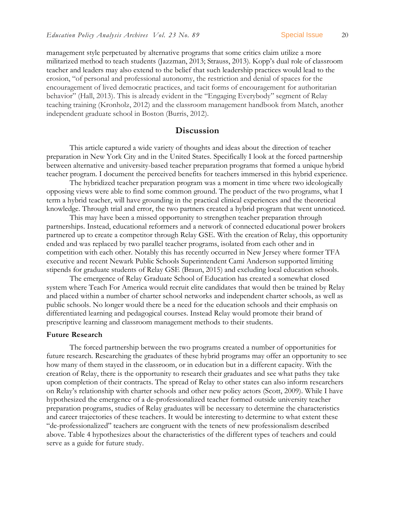management style perpetuated by alternative programs that some critics claim utilize a more militarized method to teach students [\(Jazzman, 2013;](#page-23-17) [Strauss, 2013\)](#page-25-16). Kopp's dual role of classroom teacher and leaders may also extend to the belief that such leadership practices would lead to the erosion, "of personal and professional autonomy, the restriction and denial of spaces for the encouragement of lived democratic practices, and tacit forms of encouragement for authoritarian behavior" [\(Hall, 2013\)](#page-22-17). This is already evident in the "Engaging Everybody" segment of Relay teaching training [\(Kronholz, 2012\)](#page-23-10) and the classroom management handbook from Match, another independent graduate school in Boston [\(Burris, 2012\)](#page-21-15).

#### **Discussion**

This article captured a wide variety of thoughts and ideas about the direction of teacher preparation in New York City and in the United States. Specifically I look at the forced partnership between alternative and university-based teacher preparation programs that formed a unique hybrid teacher program. I document the perceived benefits for teachers immersed in this hybrid experience.

The hybridized teacher preparation program was a moment in time where two ideologically opposing views were able to find some common ground. The product of the two programs, what I term a hybrid teacher, will have grounding in the practical clinical experiences and the theoretical knowledge. Through trial and error, the two partners created a hybrid program that went unnoticed.

This may have been a missed opportunity to strengthen teacher preparation through partnerships. Instead, educational reformers and a network of connected educational power brokers partnered up to create a competitor through Relay GSE. With the creation of Relay, this opportunity ended and was replaced by two parallel teacher programs, isolated from each other and in competition with each other. Notably this has recently occurred in New Jersey where former TFA executive and recent Newark Public Schools Superintendent Cami Anderson supported limiting stipends for graduate students of Relay GSE [\(Braun, 2015\)](#page-21-16) and excluding local education schools.

The emergence of Relay Graduate School of Education has created a somewhat closed system where Teach For America would recruit elite candidates that would then be trained by Relay and placed within a number of charter school networks and independent charter schools, as well as public schools. No longer would there be a need for the education schools and their emphasis on differentiated learning and pedagogical courses. Instead Relay would promote their brand of prescriptive learning and classroom management methods to their students.

#### **Future Research**

The forced partnership between the two programs created a number of opportunities for future research. Researching the graduates of these hybrid programs may offer an opportunity to see how many of them stayed in the classroom, or in education but in a different capacity. With the creation of Relay, there is the opportunity to research their graduates and see what paths they take upon completion of their contracts. The spread of Relay to other states can also inform researchers on Relay's relationship with charter schools and other new policy actors (Scott, 2009). While I have hypothesized the emergence of a de-professionalized teacher formed outside university teacher preparation programs, studies of Relay graduates will be necessary to determine the characteristics and career trajectories of these teachers. It would be interesting to determine to what extent these "de-professionalized" teachers are congruent with the tenets of new professionalism described above. Table 4 hypothesizes about the characteristics of the different types of teachers and could serve as a guide for future study.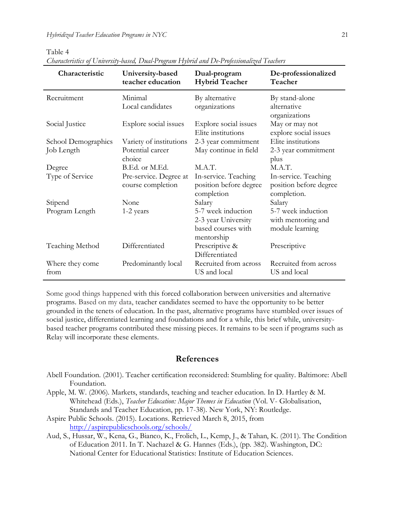Table 4

| Characteristic          | University-based<br>teacher education       | Dual-program<br><b>Hybrid Teacher</b>                                         | De-professionalized<br>Teacher                                |
|-------------------------|---------------------------------------------|-------------------------------------------------------------------------------|---------------------------------------------------------------|
| Recruitment             | Minimal<br>Local candidates                 | By alternative<br>organizations                                               | By stand-alone<br>alternative<br>organizations                |
| Social Justice          | Explore social issues                       | Explore social issues<br>Elite institutions                                   | May or may not<br>explore social issues                       |
| School Demographics     | Variety of institutions                     | 2-3 year commitment                                                           | Elite institutions                                            |
| Job Length              | Potential career<br>choice                  | May continue in field                                                         | 2-3 year commitment<br>plus                                   |
| Degree                  | B.Ed. or M.Ed.                              | M.A.T.                                                                        | M.A.T.                                                        |
| Type of Service         | Pre-service. Degree at<br>course completion | In-service. Teaching<br>position before degree<br>completion                  | In-service. Teaching<br>position before degree<br>completion. |
| Stipend                 | None                                        | Salary                                                                        | Salary                                                        |
| Program Length          | 1-2 years                                   | 5-7 week induction<br>2-3 year University<br>based courses with<br>mentorship | 5-7 week induction<br>with mentoring and<br>module learning   |
| Teaching Method         | Differentiated                              | Prescriptive &<br>Differentiated                                              | Prescriptive                                                  |
| Where they come<br>from | Predominantly local                         | Recruited from across<br>US and local                                         | Recruited from across<br>US and local                         |

*Characteristics of University-based, Dual-Program Hybrid and De-Professionalized Teachers*

Some good things happened with this forced collaboration between universities and alternative programs. Based on my data, teacher candidates seemed to have the opportunity to be better grounded in the tenets of education. In the past, alternative programs have stumbled over issues of social justice, differentiated learning and foundations and for a while, this brief while, universitybased teacher programs contributed these missing pieces. It remains to be seen if programs such as Relay will incorporate these elements.

### **References**

- <span id="page-20-1"></span>Abell Foundation. (2001). Teacher certification reconsidered: Stumbling for quality. Baltimore: Abell Foundation.
- <span id="page-20-2"></span>Apple, M. W. (2006). Markets, standards, teaching and teacher education. In D. Hartley & M. Whitehead (Eds.), *Teacher Education: Major Themes in Education* (Vol. V- Globalisation, Standards and Teacher Education, pp. 17-38). New York, NY: Routledge.
- <span id="page-20-3"></span>Aspire Public Schools. (2015). Locations. Retrieved March 8, 2015, from <http://aspirepublicschools.org/schools/>
- <span id="page-20-0"></span>Aud, S., Hussar, W., Kena, G., Bianco, K., Frolich, L., Kemp, J., & Tahan, K. (2011). The Condition of Education 2011. In T. Nachazel & G. Hannes (Eds.), (pp. 382). Washington, DC: National Center for Educational Statistics: Institute of Education Sciences.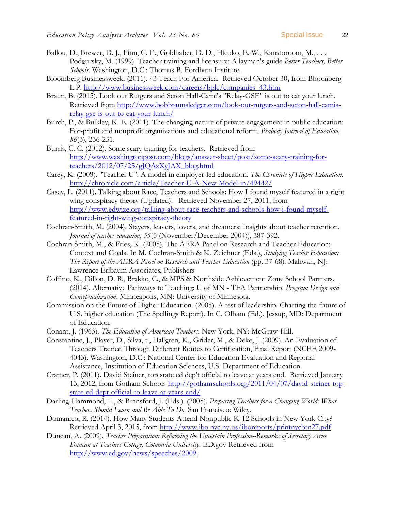- <span id="page-21-7"></span>Ballou, D., Brewer, D. J., Finn, C. E., Goldhaber, D. D., Hicoko, E. W., Kanstoroom, M., . . . Podgursky, M. (1999). Teacher training and licensure: A layman's guide *Better Teachers, Better Schools*. Washington, D.C.: Thomas B. Fordham Institute.
- <span id="page-21-11"></span>Bloomberg Businessweek. (2011). 43 Teach For America. Retrieved October 30, from Bloomberg L.P. [http://www.businessweek.com/careers/bplc/companies\\_43.htm](http://www.businessweek.com/careers/bplc/companies_43.htm)
- <span id="page-21-16"></span>Braun, B. (2015). Look out Rutgers and Seton Hall-Cami's "Relay-GSE" is out to eat your lunch. Retrieved from [http://www.bobbraunsledger.com/look-out-rutgers-and-seton-hall-camis](http://www.bobbraunsledger.com/look-out-rutgers-and-seton-hall-camis-relay-gse-is-out-to-eat-your-lunch/)[relay-gse-is-out-to-eat-your-lunch/](http://www.bobbraunsledger.com/look-out-rutgers-and-seton-hall-camis-relay-gse-is-out-to-eat-your-lunch/)
- <span id="page-21-8"></span>Burch, P., & Bulkley, K. E. (2011). The changing nature of private engagement in public education: For-profit and nonprofit organizations and educational reform. *Peabody Journal of Education, 86*(3), 236-251.
- <span id="page-21-15"></span>Burris, C. C. (2012). Some scary training for teachers. Retrieved from [http://www.washingtonpost.com/blogs/answer-sheet/post/some-scary-training-for](http://www.washingtonpost.com/blogs/answer-sheet/post/some-scary-training-for-teachers/2012/07/25/gJQAzXyJAX_blog.html)[teachers/2012/07/25/gJQAzXyJAX\\_blog.html](http://www.washingtonpost.com/blogs/answer-sheet/post/some-scary-training-for-teachers/2012/07/25/gJQAzXyJAX_blog.html)
- <span id="page-21-9"></span>Carey, K. (2009). "Teacher U": A model in employer-led education. *The Chronicle of Higher Education*. <http://chronicle.com/article/Teacher-U-A-New-Model-in/49442/>
- <span id="page-21-12"></span>Casey, L. (2011). Talking about Race, Teachers and Schools: How I found myself featured in a right wing conspiracy theory (Updated). Retrieved November 27, 2011, from [http://www.edwize.org/talking-about-race-teachers-and-schools-how-i-found-myself](http://www.edwize.org/talking-about-race-teachers-and-schools-how-i-found-myself-featured-in-right-wing-conspiracy-theory)[featured-in-right-wing-conspiracy-theory](http://www.edwize.org/talking-about-race-teachers-and-schools-how-i-found-myself-featured-in-right-wing-conspiracy-theory)
- <span id="page-21-5"></span>Cochran-Smith, M. (2004). Stayers, leavers, lovers, and dreamers: Insights about teacher retention. *Journal of teacher education, 55*(5 (November/December 2004)), 387-392.
- <span id="page-21-3"></span>Cochran-Smith, M., & Fries, K. (2005). The AERA Panel on Research and Teacher Education: Context and Goals. In M. Cochran-Smith & K. Zeichner (Eds.), *Studying Teacher Education: The Report of the AERA Panel on Research and Teacher Education* (pp. 37-68). Mahwah, NJ: Lawrence Erlbaum Associates, Publishers
- <span id="page-21-13"></span>Coffino, K., Dillon, D. R., Brakke, C., & MPS & Northside Achievement Zone School Partners. (2014). Alternative Pathways to Teaching: U of MN - TFA Partnership. *Program Design and Conceptualization*. Minneapolis, MN: University of Minnesota.
- <span id="page-21-0"></span>Commission on the Future of Higher Education. (2005). A test of leadership. Charting the future of U.S. higher education (The Spellings Report). In C. Olham (Ed.). Jessup, MD: Department of Education.
- <span id="page-21-1"></span>Conant, J. (1963). *The Education of American Teachers*. New York, NY: McGraw-Hill.
- <span id="page-21-6"></span>Constantine, J., Player, D., Silva, t., Hallgren, K., Grider, M., & Deke, J. (2009). An Evaluation of Teachers Trained Through Different Routes to Certification, Final Report (NCEE 2009- 4043). Washington, D.C.: National Center for Education Evaluation and Regional Assistance, Institution of Education Sciences, U.S. Department of Education.
- <span id="page-21-10"></span>Cramer, P. (2011). David Steiner, top state ed dep't official to leave at years end. Retrieved January 13, 2012, from Gotham Schools [http://gothamschools.org/2011/04/07/david-steiner-top](http://gothamschools.org/2011/04/07/david-steiner-top-state-ed-dept-official-to-leave-at-years-end/)[state-ed-dept-official-to-leave-at-years-end/](http://gothamschools.org/2011/04/07/david-steiner-top-state-ed-dept-official-to-leave-at-years-end/)
- <span id="page-21-4"></span>Darling-Hammond, L., & Bransford, J. (Eds.). (2005). *Preparing Teachers for a Changing World: What Teachers Should Learn and Be Able To Do*. San Francisco: Wiley.
- <span id="page-21-14"></span>Domanico, R. (2014). How Many Students Attend Nonpublic K-12 Schools in New York City? Retrieved April 3, 2015, from<http://www.ibo.nyc.ny.us/iboreports/printnycbtn27.pdf>
- <span id="page-21-2"></span>Duncan, A. (2009). *Teacher Preparation: Reforming the Uncertain Profession--Remarks of Secretary Arne Duncan at Teachers College, Columbia University*. ED.gov Retrieved from [http://www.ed.gov/news/speeches/2009.](http://www.ed.gov/news/speeches/2009)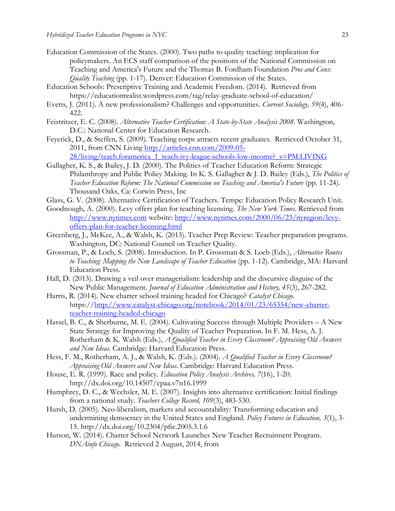- <span id="page-22-13"></span>Education Commission of the States. (2000). Two paths to quality teaching: implication for policymakers. An ECS staff comparison of the positions of the National Commission on Teaching and America's Future and the Thomas B. Fordham Foundation *Pros and Cons: Quality Teaching* (pp. 1-17). Denver: Education Commission of the States.
- <span id="page-22-12"></span>Education Schools: Prescriptive Training and Academic Freedom. (2014). Retrieved from https://educationrealist.wordpress.com/tag/relay-graduate-school-of-education/
- <span id="page-22-16"></span>Evetts, J. (2011). A new professionalism? Challenges and opportunities. *Current Sociology, 59*(4), 406- 422.
- <span id="page-22-7"></span>Feistritzer, E. C. (2008). *Alternative Teacher Certification: A State-by-State Analysis 2008*. Washington, D.C.: National Center for Education Research.
- <span id="page-22-14"></span>Feyerick, D., & Steffen, S. (2009). Teaching corps attracts recent graduates. Retrieved October 31, 2011, from CNN Living [http://articles.cnn.com/2009-05-](http://articles.cnn.com/2009-05-28/living/teach.foramerica_1_teach-ivy-league-schools-low-income?_s=PM:LIVING)

[28/living/teach.foramerica\\_1\\_teach-ivy-league-schools-low-income?\\_s=PM:LIVING](http://articles.cnn.com/2009-05-28/living/teach.foramerica_1_teach-ivy-league-schools-low-income?_s=PM:LIVING)

- <span id="page-22-3"></span>Gallagher, K. S., & Bailey, J. D. (2000). The Politics of Teacher Education Reform: Strategic Philanthropy and Public Policy Making. In K. S. Gallagher & J. D. Bailey (Eds.), *The Politics of Teacher Education Reform: The National Commission on Teaching and America's Future* (pp. 11-24). Thousand Oaks, Ca: Corwin Press, Inc
- <span id="page-22-8"></span>Glass, G. V. (2008). Alternative Certification of Teachers. Tempe: Education Policy Research Unit.
- <span id="page-22-9"></span>Goodnough, A. (2000). Levy offers plan for teaching licensing. *The New York Times*. Retrieved from [http://www.nytimes.com](http://www.nytimes.com/) website: [http://www.nytimes.com/2000/06/23/nyregion/levy](http://www.nytimes.com/2000/06/23/nyregion/levy-offers-plan-for-teacher-licensing.html)[offers-plan-for-teacher-licensing.html](http://www.nytimes.com/2000/06/23/nyregion/levy-offers-plan-for-teacher-licensing.html)
- <span id="page-22-4"></span>Greenberg, J., McKee, A., & Walsh, K. (2013). Teacher Prep Review: Teacher preparation programs. Washington, DC: National Council on Teacher Quality.
- <span id="page-22-6"></span>Grossman, P., & Loeb, S. (2008). Introduction. In P. Grossman & S. Loeb (Eds.), *Alternative Routes to Teaching: Mapping the New Landscape of Teacher Education* (pp. 1-12). Cambridge, MA: Harvard Education Press.
- <span id="page-22-17"></span>Hall, D. (2013). Drawing a veil over managerialism: leadership and the discursive disguise of the New Public Management. *Journal of Education Administration and History, 45*(3), 267-282.
- <span id="page-22-10"></span>Harris, R. (2014). New charter school training headed for Chicago? *Catalyst Chicago*. https:/[/http://www.catalyst-chicago.org/notebook/2014/01/23/65354/new-charter](http://www.catalyst-chicago.org/notebook/2014/01/23/65354/new-charter-teacher-training-headed-chicago)[teacher-training-headed-chicago](http://www.catalyst-chicago.org/notebook/2014/01/23/65354/new-charter-teacher-training-headed-chicago)
- <span id="page-22-0"></span>Hassel, B. C., & Sherburne, M. E. (2004). Cultivating Success through Multiple Providers – A New State Strategy for Improving the Quality of Teacher Preparation. In F. M. Hess, A. J. Rotherham & K. Walsh (Eds.), *A Qualified Teacher in Every Classroom? Appraising Old Answers and New Ideas*. Cambridge: Harvard Education Press.
- <span id="page-22-2"></span>Hess, F. M., Rotherham, A. J., & Walsh, K. (Eds.). (2004). *A Qualified Teacher in Every Classroom? Appraising Old Answers and New Ideas*. Cambridge: Harvard Education Press.
- <span id="page-22-15"></span>House, E. R. (1999). Race and policy. *Education Policy Analysis Archives, 7*(16), 1-20. http://dx.doi.org/10.14507/epaa.v7n16.1999
- <span id="page-22-5"></span>Humphrey, D. C., & Wechsler, M. E. (2007). Insights into alternative certification: Initial findings from a national study. *Teachers College Record, 109*(3), 483-530.
- <span id="page-22-1"></span>Hursh, D. (2005). Neo-liberalism, markets and accountability: Transforming education and undermining democracy in the United States and England. *Policy Futures in Education, 3*(1), 3- 15. http://dx.doi.org/10.2304/pfie.2005.3.1.6
- <span id="page-22-11"></span>Hutson, W. (2014). Charter School Network Launches New Teacher Recruitment Program. *DNAinfo Chicago.* Retrieved 2 August, 2014, from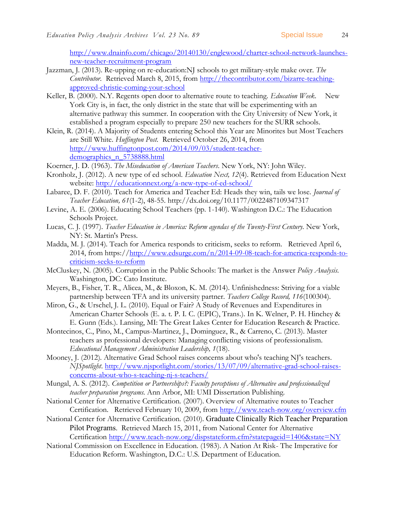[http://www.dnainfo.com/chicago/20140130/englewood/charter-school-network-launches](http://www.dnainfo.com/chicago/20140130/englewood/charter-school-network-launches-new-teacher-recruitment-program)[new-teacher-recruitment-program](http://www.dnainfo.com/chicago/20140130/englewood/charter-school-network-launches-new-teacher-recruitment-program)

- <span id="page-23-17"></span>Jazzman, J. (2013). Re-upping on re-education:NJ schools to get military-style make over. *The Contributor.* Retrieved March 8, 2015, from [http://thecontributor.com/bizarre-teaching](http://thecontributor.com/bizarre-teaching-approved-christie-coming-your-school)[approved-christie-coming-your-school](http://thecontributor.com/bizarre-teaching-approved-christie-coming-your-school)
- <span id="page-23-6"></span>Keller, B. (2000). N.Y. Regents open door to alternative route to teaching. *Education Week*. New York City is, in fact, the only district in the state that will be experimenting with an alternative pathway this summer. In cooperation with the City University of New York, it established a program especially to prepare 250 new teachers for the SURR schools.
- <span id="page-23-13"></span>Klein, R. (2014). A Majority of Students entering School this Year are Minorites but Most Teachers are Still White. *Huffington Post.* Retrieved October 26, 2014, from [http://www.huffingtonpost.com/2014/09/03/student-teacher](http://www.huffingtonpost.com/2014/09/03/student-teacher-demographics_n_5738888.html)demographics n 5738888.html
- <span id="page-23-2"></span>Koerner, J. D. (1963). *The Miseducation of American Teachers*. New York, NY: John Wiley.
- <span id="page-23-10"></span>Kronholz, J. (2012). A new type of ed school. *Education Next, 12*(4). Retrieved from Education Next website:<http://educationnext.org/a-new-type-of-ed-school/>
- <span id="page-23-15"></span>Labaree, D. F. (2010). Teach for America and Teacher Ed: Heads they win, tails we lose. *Journal of Teacher Education, 61*(1-2), 48-55. http://dx.doi.org/10.1177/0022487109347317
- <span id="page-23-3"></span>Levine, A. E. (2006). Educating School Teachers (pp. 1-140). Washington D.C.: The Education Schools Project.
- <span id="page-23-12"></span>Lucas, C. J. (1997). *Teacher Education in America: Reform agendas of the Twenty-First Century*. New York, NY: St. Martin's Press.
- <span id="page-23-14"></span>Madda, M. J. (2014). Teach for America responds to criticism, seeks to reform. Retrieved April 6, 2014, from https:/[/http://www.edsurge.com/n/2014-09-08-teach-for-america-responds-to](http://www.edsurge.com/n/2014-09-08-teach-for-america-responds-to-criticism-seeks-to-reform)[criticism-seeks-to-reform](http://www.edsurge.com/n/2014-09-08-teach-for-america-responds-to-criticism-seeks-to-reform)
- <span id="page-23-0"></span>McCluskey, N. (2005). Corruption in the Public Schools: The market is the Answer *Policy Analysis*. Washington, DC: Cato Institute.
- <span id="page-23-1"></span>Meyers, B., Fisher, T. R., Alicea, M., & Bloxon, K. M. (2014). Unfinishedness: Striving for a viable partnership between TFA and its university partner. *Teachers College Record, 116*(100304).
- <span id="page-23-8"></span>Miron, G., & Urschel, J. L. (2010). Equal or Fair? A Study of Revenues and Expenditures in American Charter Schools (E. a. t. P. I. C. (EPIC), Trans.). In K. Welner, P. H. Hinchey & E. Gunn (Eds.). Lansing, MI: The Great Lakes Center for Education Research & Practice.
- <span id="page-23-16"></span>Montecinos, C., Pino, M., Campus-Martinez, J., Dominguez, R., & Carreno, C. (2013). Master teachers as professional developers: Managing conflicting visions of professionalism. *Educational Management Administration Leadership, 1*(18).
- <span id="page-23-11"></span>Mooney, J. (2012). Alternative Grad School raises concerns about who's teaching NJ's teachers. *NJSpotlight*. [http://www.njspotlight.com/stories/13/07/09/alternative-grad-school-raises](http://www.njspotlight.com/stories/13/07/09/alternative-grad-school-raises-concerns-about-who-s-teaching-nj-s-teachers/)[concerns-about-who-s-teaching-nj-s-teachers/](http://www.njspotlight.com/stories/13/07/09/alternative-grad-school-raises-concerns-about-who-s-teaching-nj-s-teachers/)
- <span id="page-23-9"></span>Mungal, A. S. (2012). *Competition or Partnerships?: Faculty perceptions of Alternative and professionalized teacher preparation programs*. Ann Arbor, MI: UMI Dissertation Publishing.
- <span id="page-23-5"></span>National Center for Alternative Certification. (2007). Overview of Alternative routes to Teacher Certification. Retrieved February 10, 2009, from<http://www.teach-now.org/overview.cfm>
- <span id="page-23-7"></span>National Center for Alternative Certification. (2010). Graduate Clinically Rich Teacher Preparation Pilot Programs. Retrieved March 15, 2011, from National Center for Alternative Certification<http://www.teach-now.org/dispstateform.cfm?statepageid=1406&state=NY>
- <span id="page-23-4"></span>National Commission on Excellence in Education. (1983). A Nation At Risk- The Imperative for Education Reform. Washington, D.C.: U.S. Department of Education.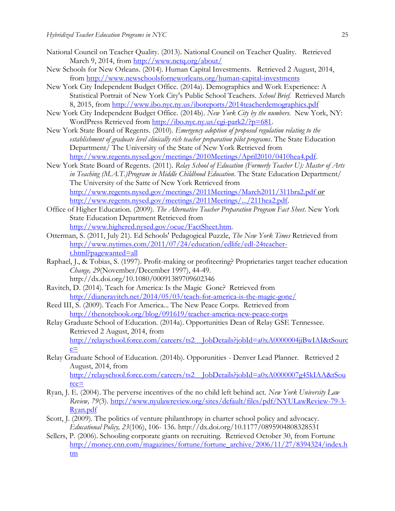- <span id="page-24-0"></span>National Council on Teacher Quality. (2013). National Council on Teacher Quality. Retrieved March 9, 2014, from<http://www.nctq.org/about/>
- <span id="page-24-9"></span>New Schools for New Orleans. (2014). Human Capital Investments. Retrieved 2 August, 2014, from<http://www.newschoolsforneworleans.org/human-capital-investments>
- <span id="page-24-11"></span>New York City Independent Budget Office. (2014a). Demographics and Work Experience: A Statistical Portrait of New York City's Public School Teachers. *School Brief.* Retrieved March 8, 2015, from<http://www.ibo.nyc.ny.us/iboreports/2014teacherdemographics.pdf>
- <span id="page-24-12"></span>New York City Independent Budget Office. (2014b). *New York City by the numbers*. New York, NY: WordPress Retrieved from [http://ibo.nyc.ny.us/cgi-park2/?p=681.](http://ibo.nyc.ny.us/cgi-park2/?p=681)
- <span id="page-24-4"></span>New York State Board of Regents. (2010). *Emergency adoption of proposed regulation relating to the establishment of graduate level clinically rich teacher preparation pilot programs*. The State Education Department/ The University of the State of New York Retrieved from [http://www.regents.nysed.gov/meetings/2010Meetings/April2010/0410hea4.pdf.](http://www.regents.nysed.gov/meetings/2010Meetings/April2010/0410hea4.pdf)
- <span id="page-24-5"></span>New York State Board of Regents. (2011). *Relay School of Education (Formerly Teacher U): Master of Arts in Teaching (M.A.T.)Program in Middle Childhood Education*. The State Education Department/ The University of the Satte of New York Retrieved from <http://www.regents.nysed.gov/meetings/2011Meetings/March2011/311bra2.pdf> *or*  [http://www.regents.nysed.gov/meetings/2011Meetings/.../211hea2.pdf.](http://www.regents.nysed.gov/meetings/2011Meetings/.../211hea2.pdf)
- <span id="page-24-1"></span>Office of Higher Education. (2009). *The Alternative Teacher Preparation Program Fact Sheet*. New York State Education Department Retrieved from [http://www.highered.nysed.gov/ocue/FactSheet.htm.](http://www.highered.nysed.gov/ocue/FactSheet.htm)
- <span id="page-24-6"></span>Otterman, S. (2011, July 21). Ed Schools' Pedagogical Puzzle, *The New York Times* Retrieved from [http://www.nytimes.com/2011/07/24/education/edlife/edl-24teacher](http://www.nytimes.com/2011/07/24/education/edlife/edl-24teacher-t.html?pagewanted=all)[t.html?pagewanted=all](http://www.nytimes.com/2011/07/24/education/edlife/edl-24teacher-t.html?pagewanted=all)
- <span id="page-24-2"></span>Raphael, J., & Tobias, S. (1997). Profit-making or profiteering? Proprietaries target teacher education *Change, 29*(November/December 1997), 44-49. http://dx.doi.org/10.1080/00091389709602346
- <span id="page-24-14"></span>Ravitch, D. (2014). Teach for America: Is the Magic Gone? Retrieved from <http://dianeravitch.net/2014/05/03/teach-for-america-is-the-magic-gone/>
- <span id="page-24-15"></span>Reed III, S. (2009). Teach For America... The New Peace Corps. Retrieved from <http://thenotebook.org/blog/091619/teacher-america-new-peace-corps>
- <span id="page-24-7"></span>Relay Graduate School of Education. (2014a). Opportunities Dean of Relay GSE Tennessee. Retrieved 2 August, 2014, from [http://relayschool.force.com/careers/ts2\\_\\_JobDetails?jobId=a0xA0000004jiBwIAI&tSourc](http://relayschool.force.com/careers/ts2__JobDetails?jobId=a0xA0000004jiBwIAI&tSource=)  $e$ =
- <span id="page-24-8"></span>Relay Graduate School of Education. (2014b). Opporunities - Denver Lead Planner. Retrieved 2 August, 2014, from [http://relayschool.force.com/careers/ts2\\_\\_JobDetails?jobId=a0xA0000007g45kIAA&tSou](http://relayschool.force.com/careers/ts2__JobDetails?jobId=a0xA0000007g45kIAA&tSource=) [rce=](http://relayschool.force.com/careers/ts2__JobDetails?jobId=a0xA0000007g45kIAA&tSource=)
- <span id="page-24-3"></span>Ryan, J. E. (2004). The perverse incentives of the no child left behind act. *New York University Law Review, 79*(3). [http://www.nyulawreview.org/sites/default/files/pdf/NYULawReview-79-3-](http://www.nyulawreview.org/sites/default/files/pdf/NYULawReview-79-3-Ryan.pdf) [Ryan.pdf](http://www.nyulawreview.org/sites/default/files/pdf/NYULawReview-79-3-Ryan.pdf)
- <span id="page-24-13"></span>Scott, J. (2009). The politics of venture philanthropy in charter school policy and advocacy. *Educational Policy, 23*(106), 106- 136. http://dx.doi.org/10.1177/0895904808328531
- <span id="page-24-10"></span>Sellers, P. (2006). Schooling corporate giants on recruiting. Retrieved October 30, from Fortune [http://money.cnn.com/magazines/fortune/fortune\\_archive/2006/11/27/8394324/index.h](http://money.cnn.com/magazines/fortune/fortune_archive/2006/11/27/8394324/index.htm) [tm](http://money.cnn.com/magazines/fortune/fortune_archive/2006/11/27/8394324/index.htm)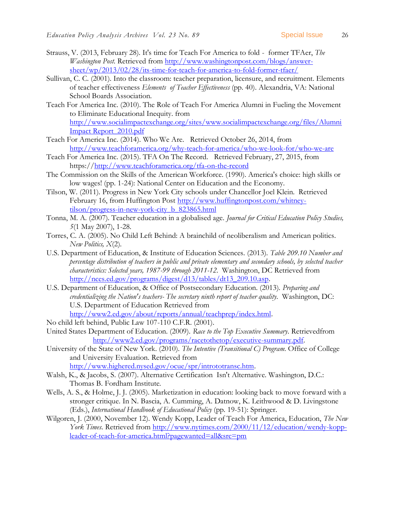- <span id="page-25-16"></span>Strauss, V. (2013, February 28). It's time for Teach For America to fold - former TFAer, *The Washington Post*. Retrieved from [http://www.washingtonpost.com/blogs/answer](http://www.washingtonpost.com/blogs/answer-sheet/wp/2013/02/28/its-time-for-teach-for-america-to-fold-former-tfaer/)[sheet/wp/2013/02/28/its-time-for-teach-for-america-to-fold-former-tfaer/](http://www.washingtonpost.com/blogs/answer-sheet/wp/2013/02/28/its-time-for-teach-for-america-to-fold-former-tfaer/)
- <span id="page-25-12"></span>Sullivan, C. C. (2001). Into the classroom: teacher preparation, licensure, and recruitment. Elements of teacher effectiveness *Elements of Teacher Effectiveness* (pp. 40). Alexandria, VA: National School Boards Association.
- <span id="page-25-15"></span>Teach For America Inc. (2010). The Role of Teach For America Alumni in Fueling the Movement to Eliminate Educational Inequity. from [http://www.socialimpactexchange.org/sites/www.socialimpactexchange.org/files/Alumni](http://www.socialimpactexchange.org/sites/www.socialimpactexchange.org/files/Alumni%20Impact%20Report_2010.pdf)  [Impact Report\\_2010.pdf](http://www.socialimpactexchange.org/sites/www.socialimpactexchange.org/files/Alumni%20Impact%20Report_2010.pdf)
- <span id="page-25-10"></span>Teach For America Inc. (2014). Who We Are. Retrieved October 26, 2014, from <http://www.teachforamerica.org/why-teach-for-america/who-we-look-for/who-we-are>
- <span id="page-25-14"></span>Teach For America Inc. (2015). TFA On The Record. Retrieved February, 27, 2015, from https:/[/http://www.teachforamerica.org/tfa-on-the-record](http://www.teachforamerica.org/tfa-on-the-record)
- <span id="page-25-1"></span>The Commission on the Skills of the American Workforce. (1990). America's choice: high skills or low wages! (pp. 1-24): National Center on Education and the Economy.
- <span id="page-25-9"></span>Tilson, W. (2011). Progress in New York City schools under Chancellor Joel Klein. Retrieved February 16, from Huffington Post [http://www.huffingtonpost.com/whitney](http://www.huffingtonpost.com/whitney-tilson/progress-in-new-york-city_b_823865.html)[tilson/progress-in-new-york-city\\_b\\_823865.html](http://www.huffingtonpost.com/whitney-tilson/progress-in-new-york-city_b_823865.html)
- <span id="page-25-2"></span>Tonna, M. A. (2007). Teacher education in a globalised age. *Journal for Critical Education Policy Studies, 5*(1 May 2007), 1-28.
- <span id="page-25-3"></span>Torres, C. A. (2005). No Child Left Behind: A brainchild of neoliberalism and American politics. *New Politics, X*(2).
- <span id="page-25-11"></span>U.S. Department of Education, & Institute of Education Sciences. (2013). *Table 209.10 Number and percentage distribution of teachers in public and private elementary and secondary schools, by selected teacher characteristics: Selected years, 1987-99 through 2011-12*. Washington, DC Retrieved from [http://nces.ed.gov/programs/digest/d13/tables/dt13\\_209.10.asp.](http://nces.ed.gov/programs/digest/d13/tables/dt13_209.10.asp)
- <span id="page-25-5"></span>U.S. Department of Education, & Office of Postsecondary Education. (2013). *Preparing and credentializing the Nation's teachers- The secretary ninth report of teacher quality*. Washington, DC: U.S. Department of Education Retrieved from [http://www2.ed.gov/about/reports/annual/teachprep/index.html.](http://www2.ed.gov/about/reports/annual/teachprep/index.html)
- <span id="page-25-6"></span>No child left behind, Public Law 107-110 C.F.R. (2001).
- <span id="page-25-7"></span>United States Department of Education. (2009). *Race to the Top Executive Summary*. Retrievedfrom [http://www2.ed.gov/programs/racetothetop/executive-summary.pdf.](http://www2.ed.gov/programs/racetothetop/executive-summary.pdf)
- <span id="page-25-8"></span>University of the State of New York. (2010). *The Intentive (Transitional C) Program*. Office of College and University Evaluation. Retrieved from [http://www.highered.nysed.gov/ocue/spr/intrototransc.htm.](http://www.highered.nysed.gov/ocue/spr/intrototransc.htm)
- <span id="page-25-4"></span>Walsh, K., & Jacobs, S. (2007). Alternative Certification Isn't Alternative. Washington, D.C.: Thomas B. Fordham Institute.
- <span id="page-25-0"></span>Wells, A. S., & Holme, J. J. (2005). Marketization in education: looking back to move forward with a stronger critique. In N. Bascia, A. Cumming, A. Datnow, K. Leithwood & D. Livingstone (Eds.), *International Handbook of Educational Policy* (pp. 19-51): Springer.
- <span id="page-25-13"></span>Wilgoren, J. (2000, November 12). Wendy Kopp, Leader of Teach For America, Education, *The New York Times*. Retrieved from [http://www.nytimes.com/2000/11/12/education/wendy-kopp](http://www.nytimes.com/2000/11/12/education/wendy-kopp-leader-of-teach-for-america.html?pagewanted=all&src=pm)[leader-of-teach-for-america.html?pagewanted=all&src=pm](http://www.nytimes.com/2000/11/12/education/wendy-kopp-leader-of-teach-for-america.html?pagewanted=all&src=pm)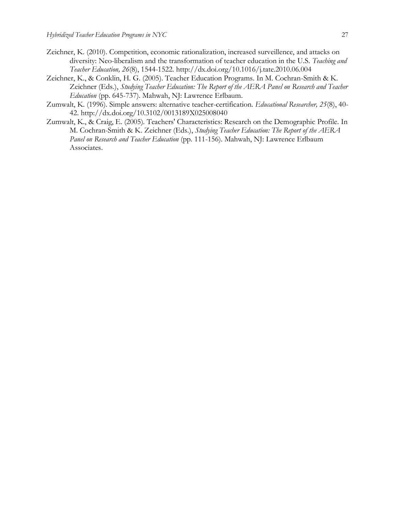- <span id="page-26-2"></span>Zeichner, K. (2010). Competition, economic rationalization, increased surveillence, and attacks on diversity: Neo-liberalism and the transformation of teacher education in the U.S. *Teaching and Teacher Education, 26*(8), 1544-1522. http://dx.doi.org/10.1016/j.tate.2010.06.004
- <span id="page-26-0"></span>Zeichner, K., & Conklin, H. G. (2005). Teacher Education Programs. In M. Cochran-Smith & K. Zeichner (Eds.), *Studying Teacher Education: The Report of the AERA Panel on Research and Teacher Education* (pp. 645-737). Mahwah, NJ: Lawrence Erlbaum.
- <span id="page-26-3"></span>Zumwalt, K. (1996). Simple answers: alternative teacher-certification. *Educational Researcher, 25*(8), 40- 42. http://dx.doi.org/10.3102/0013189X025008040
- <span id="page-26-1"></span>Zumwalt, K., & Craig, E. (2005). Teachers' Characteristics: Research on the Demographic Profile. In M. Cochran-Smith & K. Zeichner (Eds.), *Studying Teacher Education: The Report of the AERA Panel on Research and Teacher Education* (pp. 111-156). Mahwah, NJ: Lawrence Erlbaum Associates.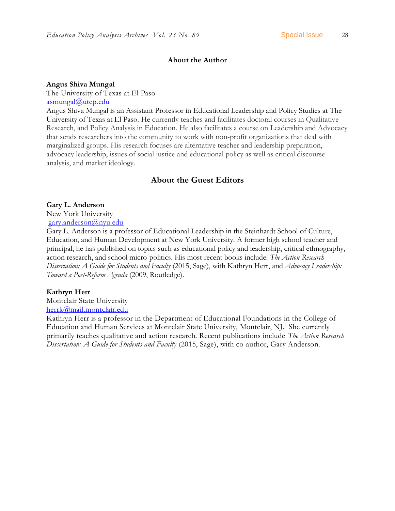## **About the Author**

#### **Angus Shiva Mungal**

The University of Texas at El Paso [asmungal@utep.edu](mailto:asmungal@utep.edu)

Angus Shiva Mungal is an Assistant Professor in Educational Leadership and Policy Studies at The University of Texas at El Paso. He currently teaches and facilitates doctoral courses in Qualitative Research, and Policy Analysis in Education. He also facilitates a course on Leadership and Advocacy that sends researchers into the community to work with non-profit organizations that deal with marginalized groups. His research focuses are alternative teacher and leadership preparation, advocacy leadership, issues of social justice and educational policy as well as critical discourse analysis, and market ideology.

## **About the Guest Editors**

#### **Gary L. Anderson**

New York University

[gary.anderson@nyu.edu](mailto:gary.anderson@nyu.edu)

Gary L. Anderson is a professor of Educational Leadership in the Steinhardt School of Culture, Education, and Human Development at New York University. A former high school teacher and principal, he has published on topics such as educational policy and leadership, critical ethnography, action research, and school micro-politics. His most recent books include: *The Action Research Dissertation: A Guide for Students and Faculty* (2015, Sage), with Kathryn Herr, and *Advocacy Leadership: Toward a Post-Reform Agenda* (2009, Routledge).

#### **Kathryn Herr**

Montclair State University [herrk@mail.montclair.edu](mailto:herrk@mail.montclair.edu)

Kathryn Herr is a professor in the Department of Educational Foundations in the College of Education and Human Services at Montclair State University, Montclair, NJ. She currently primarily teaches qualitative and action research. Recent publications include *The Action Research Dissertation: A Guide for Students and Faculty* (2015, Sage), with co-author, Gary Anderson.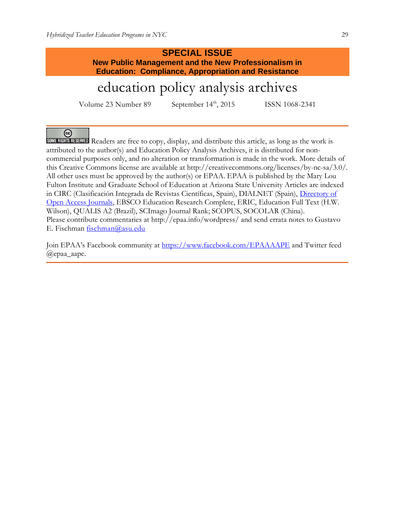## **SPECIAL ISSUE New Public Management and the New Professionalism in Education: Compliance, Appropriation and Resistance**

# education policy analysis archives

Volume 23 Number 89 September 14<sup>th</sup>, 2015 ISSN 1068-2341

ര

**SOMERIGHTS RESERVED** Readers are free to copy, display, and distribute this article, as long as the work is attributed to the author(s) and Education Policy Analysis Archives, it is distributed for noncommercial purposes only, and no alteration or transformation is made in the work. More details of this Creative Commons license are available at http://creativecommons.org/licenses/by-nc-sa/3.0/. All other uses must be approved by the author(s) or EPAA. EPAA is published by the Mary Lou Fulton Institute and Graduate School of Education at Arizona State University Articles are indexed in CIRC (Clasificación Integrada de Revistas Científicas, Spain), DIALNET (Spain), [Directory of](http://www.doaj.org/)  [Open Access Journals,](http://www.doaj.org/) EBSCO Education Research Complete, ERIC, Education Full Text (H.W. Wilson), QUALIS A2 (Brazil), SCImago Journal Rank; SCOPUS, SOCOLAR (China). Please contribute commentaries at http://epaa.info/wordpress/ and send errata notes to Gustavo E. Fischman [fischman@asu.edu](mailto:fischman@asu.edu)

Join EPAA's Facebook community at <https://www.facebook.com/EPAAAAPE> and Twitter feed @epaa\_aape.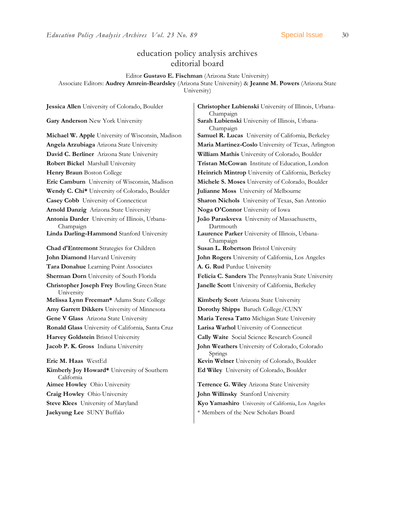## education policy analysis archives editorial board

Editor **Gustavo E. Fischman** (Arizona State University) Associate Editors: **Audrey Amrein-Beardsley** (Arizona State University) & **Jeanne M. Powers** (Arizona State University)

**David C. Berliner** Arizona State University **William Mathis** University of Colorado, Boulder **Robert Bickel** Marshall University **Tristan McCowan** Institute of Education, London **Eric Camburn** University of Wisconsin, Madison **Michele S. Moses** University of Colorado, Boulder **Wendy C. Chi\*** University of Colorado, Boulder **Julianne Moss** University of Melbourne **Casey Cobb** University of Connecticut **Sharon Nichols** University of Texas, San Antonio **Arnold Danzig** Arizona State University **Noga O'Connor** University of Iowa **Antonia Darder** University of Illinois, Urbana-Champaign **Linda Darling-Hammond** Stanford University **Laurence Parker** University of Illinois, Urbana-**Chad d'Entremont** Strategies for Children **Susan L. Robertson** Bristol University **John Diamond** Harvard University **John Rogers** University of California, Los Angeles **Tara Donahue** Learning Point Associates **A. G. Rud** Purdue University **Christopher Joseph Frey** Bowling Green State University **Melissa Lynn Freeman\*** Adams State College **Kimberly Scott** Arizona State University **Amy Garrett Dikkers** University of Minnesota **Dorothy Shipps** Baruch College/CUNY **Gene V Glass** Arizona State University **Maria Teresa Tatto** Michigan State University **Ronald Glass** University of California, Santa Cruz **Larisa Warhol** University of Connecticut **Harvey Goldstein** Bristol University **Cally Waite** Social Science Research Council **Jacob P. K. Gross** Indiana University **John Weathers** University of Colorado, Colorado **Eric M. Haas** WestEd **Kevin Welner** University of Colorado, Boulder **Kimberly Joy Howard\*** University of Southern California **Aimee Howley** Ohio University **Terrence G. Wiley** Arizona State University **Craig Howley** Ohio University **John Willinsky** Stanford University

**Jessica Allen** University of Colorado, Boulder **Christopher Lubienski** University of Illinois, Urbana-Champaign **Gary Anderson** New York University **Sarah Lubienski** University of Illinois, Urbana-Champaign **Michael W. Apple** University of Wisconsin, Madison **Samuel R. Lucas** University of California, Berkeley **Angela Arzubiaga** Arizona State University **Maria Martinez-Coslo** University of Texas, Arlington **Henry Braun** Boston College **Heinrich Mintrop** University of California, Berkeley **João Paraskveva** University of Massachusetts, Dartmouth Champaign **Sherman Dorn** University of South Florida **Felicia C. Sanders** The Pennsylvania State University **Janelle Scott** University of California, Berkeley

Springs

**Ed Wiley** University of Colorado, Boulder

**Steve Klees** University of Maryland **Kyo Yamashiro** University of California, Los Angeles **Jaekyung Lee** SUNY Buffalo \* \* Members of the New Scholars Board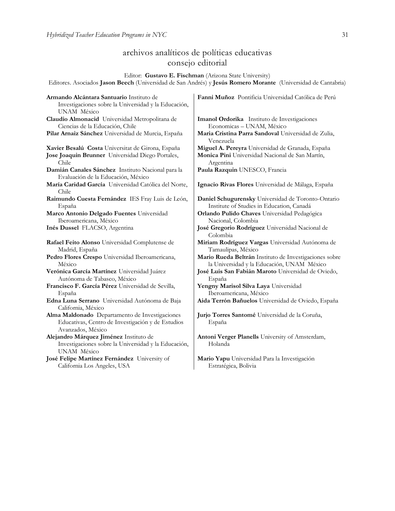## archivos analíticos de políticas educativas consejo editorial

Editor: **Gustavo E. Fischman** (Arizona State University)

Editores. Asociados **Jason Beech** (Universidad de San Andrés) y **Jesús Romero Morante** (Universidad de Cantabria)

| Armando Alcántara Santuario Instituto de<br>Investigaciones sobre la Universidad y la Educación,<br>UNAM México | Fanni Muñoz Pontificia Universidad Católica de Perú              |
|-----------------------------------------------------------------------------------------------------------------|------------------------------------------------------------------|
| Claudio Almonacid Universidad Metropolitana de                                                                  | Imanol Ordorika Instituto de Investigaciones                     |
| Ciencias de la Educación, Chile                                                                                 | Economicas - UNAM, México                                        |
| Pilar Arnaiz Sánchez Universidad de Murcia, España                                                              | Maria Cristina Parra Sandoval Universidad de Zulia,<br>Venezuela |
| Xavier Besalú Costa Universitat de Girona, España                                                               | Miguel A. Pereyra Universidad de Granada, España                 |
| Jose Joaquin Brunner Universidad Diego Portales,<br>Chile                                                       | Monica Pini Universidad Nacional de San Martín,<br>Argentina     |
| Damián Canales Sánchez Instituto Nacional para la                                                               | Paula Razquin UNESCO, Francia                                    |
| Evaluación de la Educación, México                                                                              |                                                                  |
| María Caridad García Universidad Católica del Norte,<br>Chile                                                   | Ignacio Rivas Flores Universidad de Málaga, España               |
| Raimundo Cuesta Fernández IES Fray Luis de León,                                                                | Daniel Schugurensky Universidad de Toronto-Ontario               |
| España                                                                                                          | Institute of Studies in Education, Canadá                        |
| Marco Antonio Delgado Fuentes Universidad                                                                       | Orlando Pulido Chaves Universidad Pedagógica                     |
| Iberoamericana, México                                                                                          | Nacional, Colombia                                               |
| Inés Dussel FLACSO, Argentina                                                                                   | José Gregorio Rodríguez Universidad Nacional de<br>Colombia      |
| Rafael Feito Alonso Universidad Complutense de                                                                  | Miriam Rodríguez Vargas Universidad Autónoma de                  |
| Madrid, España                                                                                                  | Tamaulipas, México                                               |
| Pedro Flores Crespo Universidad Iberoamericana,                                                                 | Mario Rueda Beltrán Instituto de Investigaciones sobre           |
| México                                                                                                          | la Universidad y la Educación, UNAM México                       |
| Verónica García Martínez Universidad Juárez                                                                     | José Luis San Fabián Maroto Universidad de Oviedo,               |
| Autónoma de Tabasco, México                                                                                     | España                                                           |
| Francisco F. García Pérez Universidad de Sevilla,                                                               | Yengny Marisol Silva Laya Universidad                            |
| España                                                                                                          | Iberoamericana, México                                           |
| Edna Luna Serrano Universidad Autónoma de Baja                                                                  | Aida Terrón Bañuelos Universidad de Oviedo, España               |
| California, México                                                                                              |                                                                  |
| Alma Maldonado Departamento de Investigaciones                                                                  | Jurio Torres Santomé Universidad de la Coruña,                   |
| Educativas, Centro de Investigación y de Estudios<br>Avanzados, México                                          | España                                                           |
| Alejandro Márquez Jiménez Instituto de                                                                          | Antoni Verger Planells University of Amsterdam,                  |
| Investigaciones sobre la Universidad y la Educación,<br>UNAM México                                             | Holanda                                                          |
| José Felipe Martínez Fernández University of                                                                    | Mario Yapu Universidad Para la Investigación                     |
| California Los Angeles, USA                                                                                     | Estratégica, Bolivia                                             |